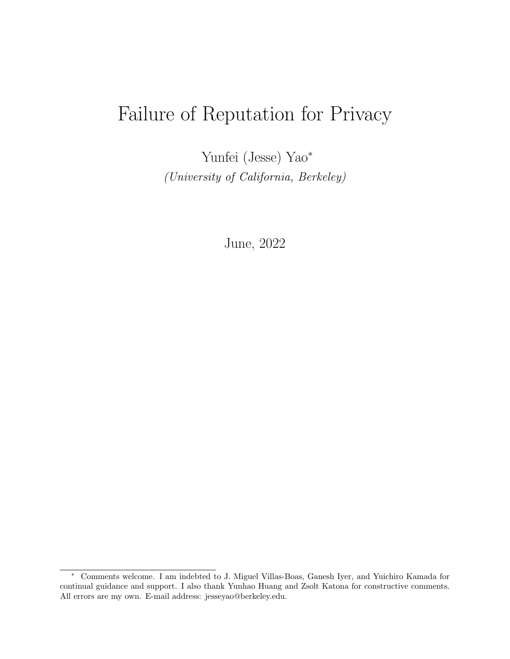# Failure of Reputation for Privacy

Yunfei (Jesse) Yao<sup>∗</sup> (University of California, Berkeley)

June, 2022

<sup>∗</sup> Comments welcome. I am indebted to J. Miguel Villas-Boas, Ganesh Iyer, and Yuichiro Kamada for continual guidance and support. I also thank Yunhao Huang and Zsolt Katona for constructive comments. All errors are my own. E-mail address: jesseyao@berkeley.edu.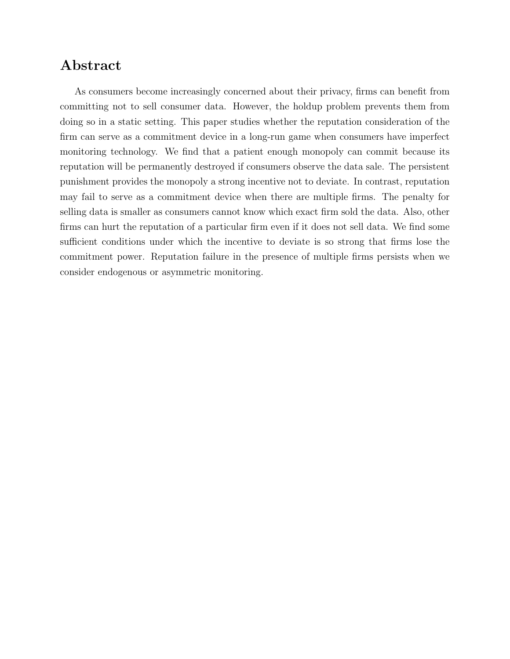# Abstract

As consumers become increasingly concerned about their privacy, firms can benefit from committing not to sell consumer data. However, the holdup problem prevents them from doing so in a static setting. This paper studies whether the reputation consideration of the firm can serve as a commitment device in a long-run game when consumers have imperfect monitoring technology. We find that a patient enough monopoly can commit because its reputation will be permanently destroyed if consumers observe the data sale. The persistent punishment provides the monopoly a strong incentive not to deviate. In contrast, reputation may fail to serve as a commitment device when there are multiple firms. The penalty for selling data is smaller as consumers cannot know which exact firm sold the data. Also, other firms can hurt the reputation of a particular firm even if it does not sell data. We find some sufficient conditions under which the incentive to deviate is so strong that firms lose the commitment power. Reputation failure in the presence of multiple firms persists when we consider endogenous or asymmetric monitoring.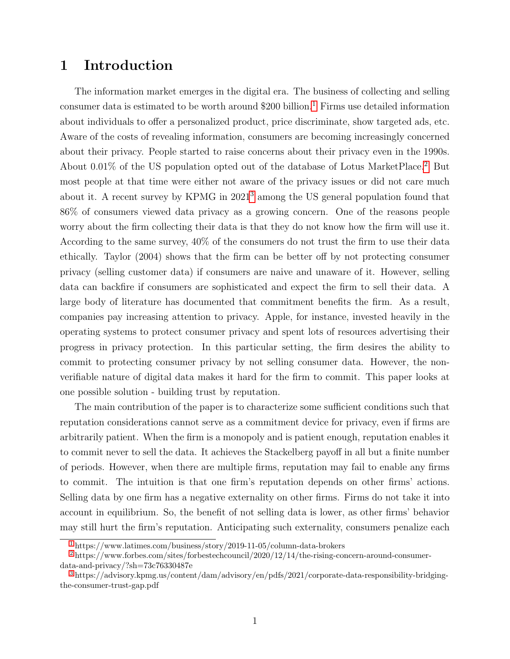### 1 Introduction

<span id="page-2-5"></span><span id="page-2-4"></span><span id="page-2-3"></span>The information market emerges in the digital era. The business of collecting and selling consumer data is estimated to be worth around  $$200$  billion.<sup>[1](#page-2-0)</sup> Firms use detailed information about individuals to offer a personalized product, price discriminate, show targeted ads, etc. Aware of the costs of revealing information, consumers are becoming increasingly concerned about their privacy. People started to raise concerns about their privacy even in the 1990s. About 0.01% of the US population opted out of the database of Lotus MarketPlace.[2](#page-2-1) But most people at that time were either not aware of the privacy issues or did not care much about it. A recent survey by KPMG in 2021[3](#page-2-2) among the US general population found that 86% of consumers viewed data privacy as a growing concern. One of the reasons people worry about the firm collecting their data is that they do not know how the firm will use it. According to the same survey, 40% of the consumers do not trust the firm to use their data ethically. Taylor (2004) shows that the firm can be better off by not protecting consumer privacy (selling customer data) if consumers are naive and unaware of it. However, selling data can backfire if consumers are sophisticated and expect the firm to sell their data. A large body of literature has documented that commitment benefits the firm. As a result, companies pay increasing attention to privacy. Apple, for instance, invested heavily in the operating systems to protect consumer privacy and spent lots of resources advertising their progress in privacy protection. In this particular setting, the firm desires the ability to commit to protecting consumer privacy by not selling consumer data. However, the nonverifiable nature of digital data makes it hard for the firm to commit. This paper looks at one possible solution - building trust by reputation.

The main contribution of the paper is to characterize some sufficient conditions such that reputation considerations cannot serve as a commitment device for privacy, even if firms are arbitrarily patient. When the firm is a monopoly and is patient enough, reputation enables it to commit never to sell the data. It achieves the Stackelberg payoff in all but a finite number of periods. However, when there are multiple firms, reputation may fail to enable any firms to commit. The intuition is that one firm's reputation depends on other firms' actions. Selling data by one firm has a negative externality on other firms. Firms do not take it into account in equilibrium. So, the benefit of not selling data is lower, as other firms' behavior may still hurt the firm's reputation. Anticipating such externality, consumers penalize each

<span id="page-2-1"></span><span id="page-2-0"></span>[<sup>1</sup>](#page-2-3) https://www.latimes.com/business/story/2019-11-05/column-data-brokers

[<sup>2</sup>](#page-2-4) https://www.forbes.com/sites/forbestechcouncil/2020/12/14/the-rising-concern-around-consumerdata-and-privacy/?sh=73c76330487e

<span id="page-2-2"></span>[<sup>3</sup>](#page-2-5) https://advisory.kpmg.us/content/dam/advisory/en/pdfs/2021/corporate-data-responsibility-bridgingthe-consumer-trust-gap.pdf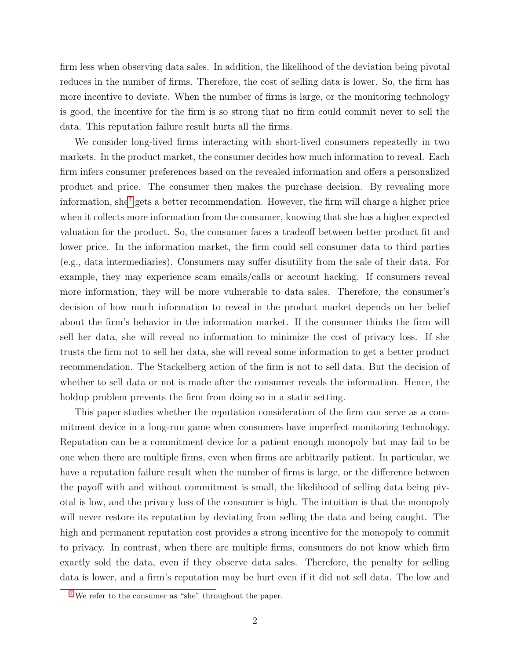firm less when observing data sales. In addition, the likelihood of the deviation being pivotal reduces in the number of firms. Therefore, the cost of selling data is lower. So, the firm has more incentive to deviate. When the number of firms is large, or the monitoring technology is good, the incentive for the firm is so strong that no firm could commit never to sell the data. This reputation failure result hurts all the firms.

<span id="page-3-1"></span>We consider long-lived firms interacting with short-lived consumers repeatedly in two markets. In the product market, the consumer decides how much information to reveal. Each firm infers consumer preferences based on the revealed information and offers a personalized product and price. The consumer then makes the purchase decision. By revealing more information, she<sup>[4](#page-3-0)</sup> gets a better recommendation. However, the firm will charge a higher price when it collects more information from the consumer, knowing that she has a higher expected valuation for the product. So, the consumer faces a tradeoff between better product fit and lower price. In the information market, the firm could sell consumer data to third parties (e.g., data intermediaries). Consumers may suffer disutility from the sale of their data. For example, they may experience scam emails/calls or account hacking. If consumers reveal more information, they will be more vulnerable to data sales. Therefore, the consumer's decision of how much information to reveal in the product market depends on her belief about the firm's behavior in the information market. If the consumer thinks the firm will sell her data, she will reveal no information to minimize the cost of privacy loss. If she trusts the firm not to sell her data, she will reveal some information to get a better product recommendation. The Stackelberg action of the firm is not to sell data. But the decision of whether to sell data or not is made after the consumer reveals the information. Hence, the holdup problem prevents the firm from doing so in a static setting.

This paper studies whether the reputation consideration of the firm can serve as a commitment device in a long-run game when consumers have imperfect monitoring technology. Reputation can be a commitment device for a patient enough monopoly but may fail to be one when there are multiple firms, even when firms are arbitrarily patient. In particular, we have a reputation failure result when the number of firms is large, or the difference between the payoff with and without commitment is small, the likelihood of selling data being pivotal is low, and the privacy loss of the consumer is high. The intuition is that the monopoly will never restore its reputation by deviating from selling the data and being caught. The high and permanent reputation cost provides a strong incentive for the monopoly to commit to privacy. In contrast, when there are multiple firms, consumers do not know which firm exactly sold the data, even if they observe data sales. Therefore, the penalty for selling data is lower, and a firm's reputation may be hurt even if it did not sell data. The low and

<span id="page-3-0"></span>[<sup>4</sup>](#page-3-1) We refer to the consumer as "she" throughout the paper.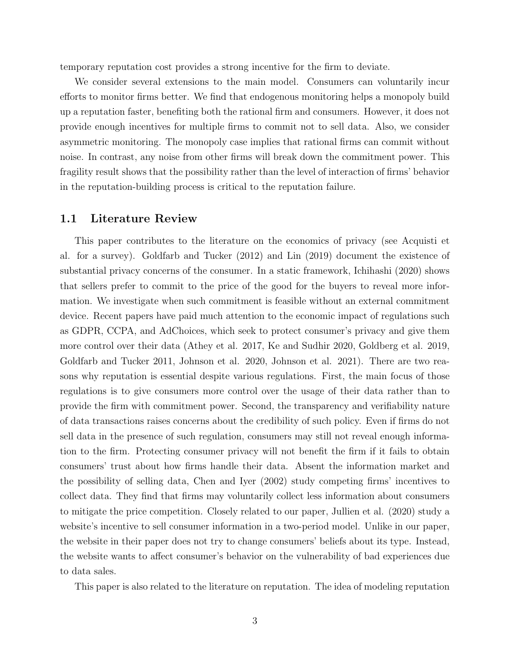temporary reputation cost provides a strong incentive for the firm to deviate.

We consider several extensions to the main model. Consumers can voluntarily incur efforts to monitor firms better. We find that endogenous monitoring helps a monopoly build up a reputation faster, benefiting both the rational firm and consumers. However, it does not provide enough incentives for multiple firms to commit not to sell data. Also, we consider asymmetric monitoring. The monopoly case implies that rational firms can commit without noise. In contrast, any noise from other firms will break down the commitment power. This fragility result shows that the possibility rather than the level of interaction of firms' behavior in the reputation-building process is critical to the reputation failure.

#### 1.1 Literature Review

This paper contributes to the literature on the economics of privacy (see Acquisti et al. for a survey). Goldfarb and Tucker (2012) and Lin (2019) document the existence of substantial privacy concerns of the consumer. In a static framework, Ichihashi (2020) shows that sellers prefer to commit to the price of the good for the buyers to reveal more information. We investigate when such commitment is feasible without an external commitment device. Recent papers have paid much attention to the economic impact of regulations such as GDPR, CCPA, and AdChoices, which seek to protect consumer's privacy and give them more control over their data (Athey et al. 2017, Ke and Sudhir 2020, Goldberg et al. 2019, Goldfarb and Tucker 2011, Johnson et al. 2020, Johnson et al. 2021). There are two reasons why reputation is essential despite various regulations. First, the main focus of those regulations is to give consumers more control over the usage of their data rather than to provide the firm with commitment power. Second, the transparency and verifiability nature of data transactions raises concerns about the credibility of such policy. Even if firms do not sell data in the presence of such regulation, consumers may still not reveal enough information to the firm. Protecting consumer privacy will not benefit the firm if it fails to obtain consumers' trust about how firms handle their data. Absent the information market and the possibility of selling data, Chen and Iyer (2002) study competing firms' incentives to collect data. They find that firms may voluntarily collect less information about consumers to mitigate the price competition. Closely related to our paper, Jullien et al. (2020) study a website's incentive to sell consumer information in a two-period model. Unlike in our paper, the website in their paper does not try to change consumers' beliefs about its type. Instead, the website wants to affect consumer's behavior on the vulnerability of bad experiences due to data sales.

This paper is also related to the literature on reputation. The idea of modeling reputation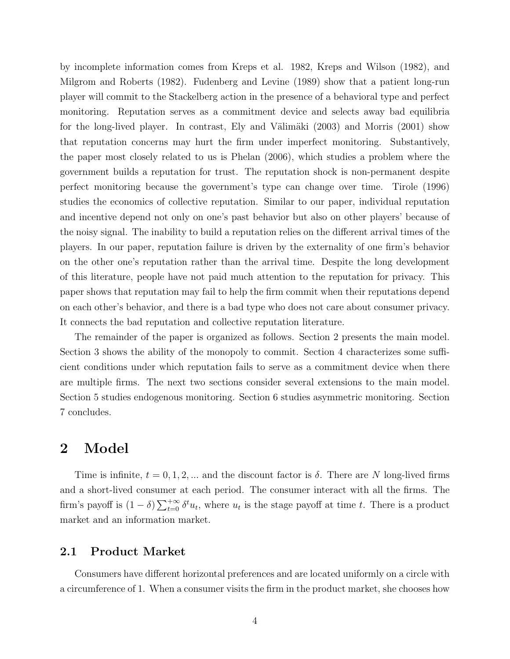by incomplete information comes from Kreps et al. 1982, Kreps and Wilson (1982), and Milgrom and Roberts (1982). Fudenberg and Levine (1989) show that a patient long-run player will commit to the Stackelberg action in the presence of a behavioral type and perfect monitoring. Reputation serves as a commitment device and selects away bad equilibria for the long-lived player. In contrast, Ely and Välimäki  $(2003)$  and Morris  $(2001)$  show that reputation concerns may hurt the firm under imperfect monitoring. Substantively, the paper most closely related to us is Phelan (2006), which studies a problem where the government builds a reputation for trust. The reputation shock is non-permanent despite perfect monitoring because the government's type can change over time. Tirole (1996) studies the economics of collective reputation. Similar to our paper, individual reputation and incentive depend not only on one's past behavior but also on other players' because of the noisy signal. The inability to build a reputation relies on the different arrival times of the players. In our paper, reputation failure is driven by the externality of one firm's behavior on the other one's reputation rather than the arrival time. Despite the long development of this literature, people have not paid much attention to the reputation for privacy. This paper shows that reputation may fail to help the firm commit when their reputations depend on each other's behavior, and there is a bad type who does not care about consumer privacy. It connects the bad reputation and collective reputation literature.

The remainder of the paper is organized as follows. Section 2 presents the main model. Section 3 shows the ability of the monopoly to commit. Section 4 characterizes some sufficient conditions under which reputation fails to serve as a commitment device when there are multiple firms. The next two sections consider several extensions to the main model. Section 5 studies endogenous monitoring. Section 6 studies asymmetric monitoring. Section 7 concludes.

### 2 Model

Time is infinite,  $t = 0, 1, 2, ...$  and the discount factor is  $\delta$ . There are N long-lived firms and a short-lived consumer at each period. The consumer interact with all the firms. The firm's payoff is  $(1 - \delta) \sum_{t=0}^{+\infty} \delta^t u_t$ , where  $u_t$  is the stage payoff at time t. There is a product market and an information market.

#### 2.1 Product Market

Consumers have different horizontal preferences and are located uniformly on a circle with a circumference of 1. When a consumer visits the firm in the product market, she chooses how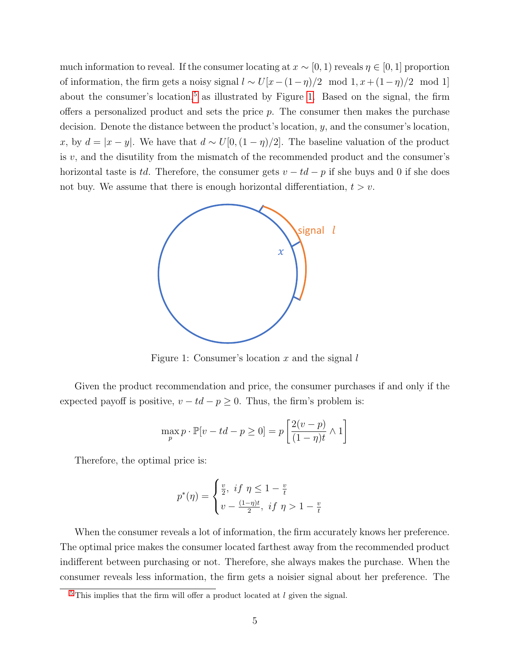much information to reveal. If the consumer locating at  $x \sim [0, 1]$  reveals  $\eta \in [0, 1]$  proportion of information, the firm gets a noisy signal  $l \sim U[x-(1-\eta)/2 \mod 1, x+(1-\eta)/2 \mod 1]$ about the consumer's location,<sup>[5](#page-6-0)</sup> as illustrated by Figure [1.](#page-6-1) Based on the signal, the firm offers a personalized product and sets the price  $p$ . The consumer then makes the purchase decision. Denote the distance between the product's location, y, and the consumer's location, x, by  $d = |x - y|$ . We have that  $d \sim U[0, (1 - \eta)/2]$ . The baseline valuation of the product is  $v$ , and the disutility from the mismatch of the recommended product and the consumer's horizontal taste is td. Therefore, the consumer gets  $v - td - p$  if she buys and 0 if she does not buy. We assume that there is enough horizontal differentiation,  $t > v$ .

<span id="page-6-2"></span><span id="page-6-1"></span>

Figure 1: Consumer's location x and the signal  $l$ 

Given the product recommendation and price, the consumer purchases if and only if the expected payoff is positive,  $v - td - p \ge 0$ . Thus, the firm's problem is:

$$
\max_{p} p \cdot \mathbb{P}[v - td - p \ge 0] = p \left[ \frac{2(v - p)}{(1 - \eta)t} \wedge 1 \right]
$$

Therefore, the optimal price is:

$$
p^*(\eta) = \begin{cases} \frac{v}{2}, & \text{if } \eta \leq 1 - \frac{v}{t} \\ v - \frac{(1-\eta)t}{2}, & \text{if } \eta > 1 - \frac{v}{t} \end{cases}
$$

When the consumer reveals a lot of information, the firm accurately knows her preference. The optimal price makes the consumer located farthest away from the recommended product indifferent between purchasing or not. Therefore, she always makes the purchase. When the consumer reveals less information, the firm gets a noisier signal about her preference. The

<span id="page-6-0"></span> $5$  This implies that the firm will offer a product located at  $l$  given the signal.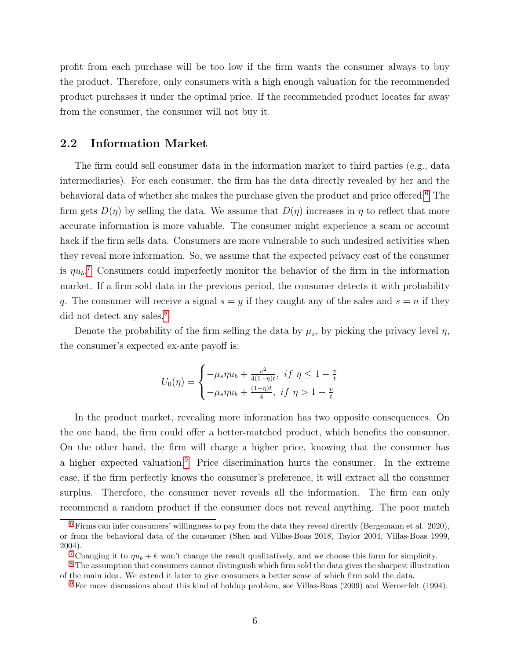profit from each purchase will be too low if the firm wants the consumer always to buy the product. Therefore, only consumers with a high enough valuation for the recommended product purchases it under the optimal price. If the recommended product locates far away from the consumer, the consumer will not buy it.

#### 2.2 Information Market

The firm could sell consumer data in the information market to third parties (e.g., data intermediaries). For each consumer, the firm has the data directly revealed by her and the behavioral data of whether she makes the purchase given the product and price offered.<sup>[6](#page-7-0)</sup> The firm gets  $D(\eta)$  by selling the data. We assume that  $D(\eta)$  increases in  $\eta$  to reflect that more accurate information is more valuable. The consumer might experience a scam or account hack if the firm sells data. Consumers are more vulnerable to such undesired activities when they reveal more information. So, we assume that the expected privacy cost of the consumer is  $\eta u_b$ <sup>[7](#page-7-1)</sup> Consumers could imperfectly monitor the behavior of the firm in the information market. If a firm sold data in the previous period, the consumer detects it with probability q. The consumer will receive a signal  $s = y$  if they caught any of the sales and  $s = n$  if they did not detect any sales.<sup>[8](#page-7-2)</sup>

<span id="page-7-5"></span>Denote the probability of the firm selling the data by  $\mu_s$ , by picking the privacy level  $\eta$ , the consumer's expected ex-ante payoff is:

<span id="page-7-7"></span><span id="page-7-6"></span><span id="page-7-4"></span>
$$
U_0(\eta) = \begin{cases} -\mu_s \eta u_b + \frac{v^2}{4(1-\eta)t}, & \text{if } \eta \le 1 - \frac{v}{t} \\ -\mu_s \eta u_b + \frac{(1-\eta)t}{4}, & \text{if } \eta > 1 - \frac{v}{t} \end{cases}
$$

In the product market, revealing more information has two opposite consequences. On the one hand, the firm could offer a better-matched product, which benefits the consumer. On the other hand, the firm will charge a higher price, knowing that the consumer has a higher expected valuation.[9](#page-7-3) Price discrimination hurts the consumer. In the extreme case, if the firm perfectly knows the consumer's preference, it will extract all the consumer surplus. Therefore, the consumer never reveals all the information. The firm can only recommend a random product if the consumer does not reveal anything. The poor match

<span id="page-7-0"></span> $6$  Firms can infer consumers' willingness to pay from the data they reveal directly (Bergemann et al. 2020), or from the behavioral data of the consumer (Shen and Villas-Boas 2018, Taylor 2004, Villas-Boas 1999, 2004).

<span id="page-7-2"></span><span id="page-7-1"></span><sup>&</sup>lt;sup>[7](#page-7-5)</sup> Changing it to  $\eta u_b + k$  won't change the result qualitatively, and we choose this form for simplicity.

<sup>&</sup>lt;sup>[8](#page-7-6)</sup> The assumption that consumers cannot distinguish which firm sold the data gives the sharpest illustration of the main idea. We extend it later to give consumers a better sense of which firm sold the data.

<span id="page-7-3"></span><sup>&</sup>lt;sup>[9](#page-7-7)</sup> For more discussions about this kind of holdup problem, see Villas-Boas (2009) and Wernerfelt (1994).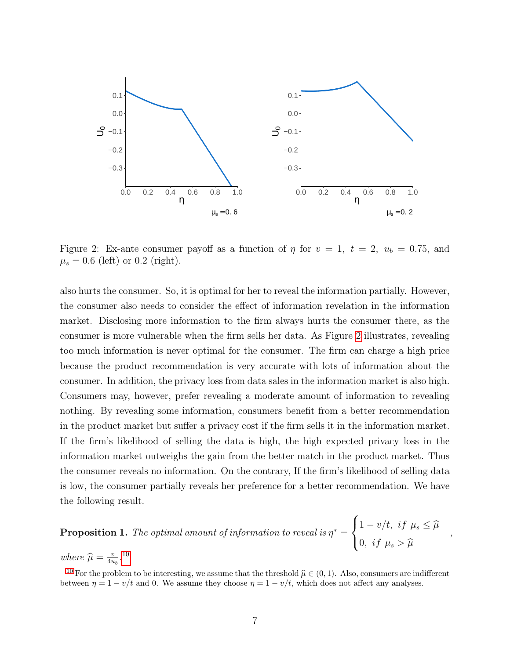<span id="page-8-0"></span>

Figure 2: Ex-ante consumer payoff as a function of  $\eta$  for  $v = 1$ ,  $t = 2$ ,  $u_b = 0.75$ , and  $\mu_s = 0.6$  (left) or 0.2 (right).

also hurts the consumer. So, it is optimal for her to reveal the information partially. However, the consumer also needs to consider the effect of information revelation in the information market. Disclosing more information to the firm always hurts the consumer there, as the consumer is more vulnerable when the firm sells her data. As Figure [2](#page-8-0) illustrates, revealing too much information is never optimal for the consumer. The firm can charge a high price because the product recommendation is very accurate with lots of information about the consumer. In addition, the privacy loss from data sales in the information market is also high. Consumers may, however, prefer revealing a moderate amount of information to revealing nothing. By revealing some information, consumers benefit from a better recommendation in the product market but suffer a privacy cost if the firm sells it in the information market. If the firm's likelihood of selling the data is high, the high expected privacy loss in the information market outweighs the gain from the better match in the product market. Thus the consumer reveals no information. On the contrary, If the firm's likelihood of selling data is low, the consumer partially reveals her preference for a better recommendation. We have the following result.

<span id="page-8-3"></span>**Proposition 1.** The optimal amount of information to reveal is  $\eta^* =$  $\sqrt{ }$  $\int$  $\mathcal{L}$  $1 - v/t$ , if  $\mu_s \leq \widehat{\mu}$ 0, if  $\mu_s > \widehat{\mu}$ where  $\widehat{\mu} = \frac{v}{4u}$  $\frac{v}{4u_b}$ .<sup>[10](#page-8-1)</sup>

,

<span id="page-8-2"></span><span id="page-8-1"></span><sup>[10](#page-8-2)</sup> For the problem to be interesting, we assume that the threshold  $\hat{\mu} \in (0, 1)$ . Also, consumers are indifferent between  $\eta = 1 - v/t$  and 0. We assume they choose  $\eta = 1 - v/t$ , which does not affect any analyses.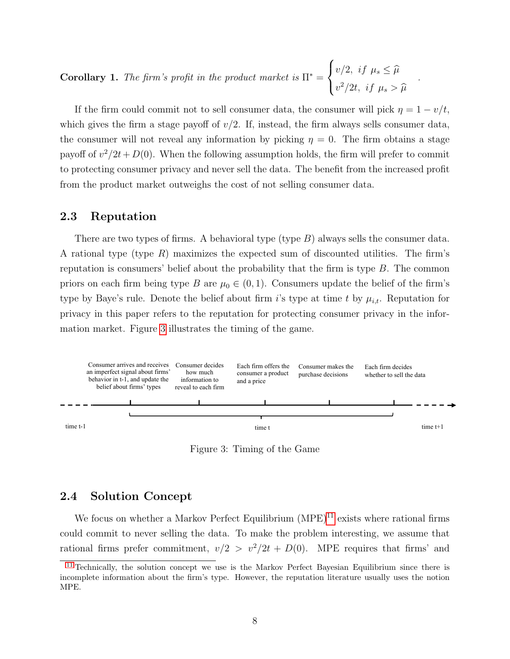Corollary 1. The firm's profit in the product market is  $\Pi^* =$  $\sqrt{ }$  $\int$  $\mathcal{L}$  $v/2$ , if  $\mu_s \leq \widehat{\mu}$  $v^2/2t$ , if  $\mu_s > \widehat{\mu}$ 

If the firm could commit not to sell consumer data, the consumer will pick  $\eta = 1 - v/t$ , which gives the firm a stage payoff of  $v/2$ . If, instead, the firm always sells consumer data, the consumer will not reveal any information by picking  $\eta = 0$ . The firm obtains a stage payoff of  $v^2/2t+D(0)$ . When the following assumption holds, the firm will prefer to commit to protecting consumer privacy and never sell the data. The benefit from the increased profit from the product market outweighs the cost of not selling consumer data.

.

#### 2.3 Reputation

There are two types of firms. A behavioral type (type  $B$ ) always sells the consumer data. A rational type (type  $R$ ) maximizes the expected sum of discounted utilities. The firm's reputation is consumers' belief about the probability that the firm is type  $B$ . The common priors on each firm being type B are  $\mu_0 \in (0,1)$ . Consumers update the belief of the firm's type by Baye's rule. Denote the belief about firm i's type at time t by  $\mu_{i,t}$ . Reputation for privacy in this paper refers to the reputation for protecting consumer privacy in the information market. Figure [3](#page-9-0) illustrates the timing of the game.

<span id="page-9-0"></span>

<span id="page-9-2"></span>Figure 3: Timing of the Game

#### 2.4 Solution Concept

We focus on whether a Markov Perfect Equilibrium  $(MPE)^{11}$  $(MPE)^{11}$  $(MPE)^{11}$  exists where rational firms could commit to never selling the data. To make the problem interesting, we assume that rational firms prefer commitment,  $v/2 > v^2/2t + D(0)$ . MPE requires that firms' and

<span id="page-9-1"></span><sup>&</sup>lt;sup>[11](#page-9-2)</sup> Technically, the solution concept we use is the Markov Perfect Bayesian Equilibrium since there is incomplete information about the firm's type. However, the reputation literature usually uses the notion MPE.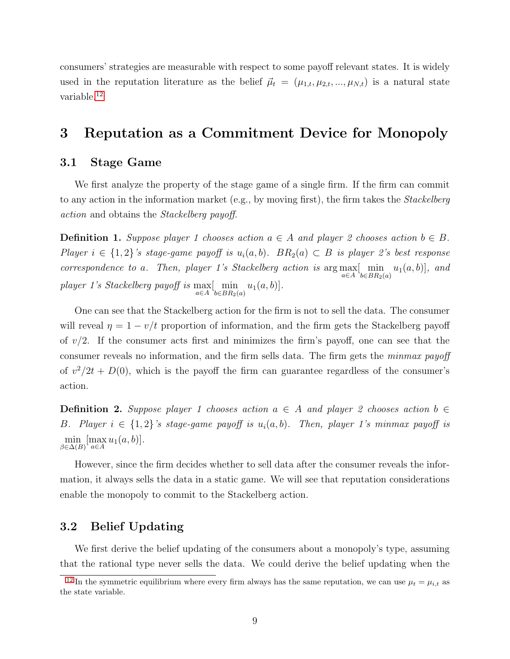<span id="page-10-1"></span>consumers' strategies are measurable with respect to some payoff relevant states. It is widely used in the reputation literature as the belief  $\vec{\mu}_t = (\mu_{1,t}, \mu_{2,t}, ..., \mu_{N,t})$  is a natural state variable.[12](#page-10-0)

# 3 Reputation as a Commitment Device for Monopoly

#### 3.1 Stage Game

We first analyze the property of the stage game of a single firm. If the firm can commit to any action in the information market (e.g., by moving first), the firm takes the *Stackelberg* action and obtains the Stackelberg payoff.

**Definition 1.** Suppose player 1 chooses action  $a \in A$  and player 2 chooses action  $b \in B$ . Player  $i \in \{1,2\}$ 's stage-game payoff is  $u_i(a, b)$ .  $BR_2(a) \subset B$  is player 2's best response correspondence to a. Then, player 1's Stackelberg action is  $\arg \max_{a \in A} [\min_{b \in BR_2(a)} u_1(a, b)]$ , and player 1's Stackelberg payoff is  $\max_{a \in A} [\min_{b \in BR_2(a)} u_1(a, b)].$ 

One can see that the Stackelberg action for the firm is not to sell the data. The consumer will reveal  $\eta = 1 - v/t$  proportion of information, and the firm gets the Stackelberg payoff of  $v/2$ . If the consumer acts first and minimizes the firm's payoff, one can see that the consumer reveals no information, and the firm sells data. The firm gets the *minmax payoff* of  $v^2/2t + D(0)$ , which is the payoff the firm can guarantee regardless of the consumer's action.

**Definition 2.** Suppose player 1 chooses action  $a \in A$  and player 2 chooses action  $b \in A$ B. Player  $i \in \{1,2\}$ 's stage-game payoff is  $u_i(a, b)$ . Then, player 1's minmax payoff is  $\min_{\beta \in \Delta(B)} [\max_{a \in A} u_1(a, b)].$ 

However, since the firm decides whether to sell data after the consumer reveals the information, it always sells the data in a static game. We will see that reputation considerations enable the monopoly to commit to the Stackelberg action.

#### 3.2 Belief Updating

We first derive the belief updating of the consumers about a monopoly's type, assuming that the rational type never sells the data. We could derive the belief updating when the

<span id="page-10-0"></span><sup>&</sup>lt;sup>[12](#page-10-1)</sup> In the symmetric equilibrium where every firm always has the same reputation, we can use  $\mu_t = \mu_{i,t}$  as the state variable.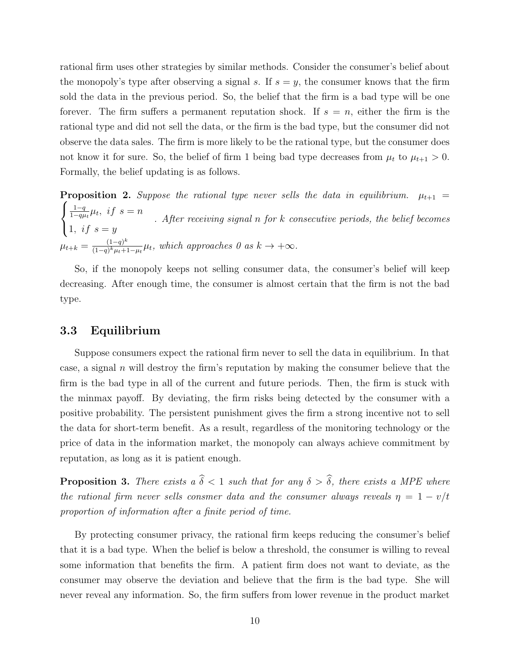rational firm uses other strategies by similar methods. Consider the consumer's belief about the monopoly's type after observing a signal s. If  $s = y$ , the consumer knows that the firm sold the data in the previous period. So, the belief that the firm is a bad type will be one forever. The firm suffers a permanent reputation shock. If  $s = n$ , either the firm is the rational type and did not sell the data, or the firm is the bad type, but the consumer did not observe the data sales. The firm is more likely to be the rational type, but the consumer does not know it for sure. So, the belief of firm 1 being bad type decreases from  $\mu_t$  to  $\mu_{t+1} > 0$ . Formally, the belief updating is as follows.

<span id="page-11-1"></span>**Proposition 2.** Suppose the rational type never sells the data in equilibrium.  $\mu_{t+1}$  =  $\sqrt{ }$  $\int$  $\mathcal{L}$  $1-q$  $\frac{1-q}{1-q\mu_t}\mu_t$ , if  $s=n$ 1, if  $s = y$ . After receiving signal n for k consecutive periods, the belief becomes  $\mu_{t+k} = \frac{(1-q)^k}{(1-q)^k \mu_t + 1}$  $\frac{(1-q)^k}{(1-q)^k \mu_t+1-\mu_t} \mu_t$ , which approaches 0 as  $k \to +\infty$ .

So, if the monopoly keeps not selling consumer data, the consumer's belief will keep decreasing. After enough time, the consumer is almost certain that the firm is not the bad type.

#### 3.3 Equilibrium

Suppose consumers expect the rational firm never to sell the data in equilibrium. In that case, a signal n will destroy the firm's reputation by making the consumer believe that the firm is the bad type in all of the current and future periods. Then, the firm is stuck with the minmax payoff. By deviating, the firm risks being detected by the consumer with a positive probability. The persistent punishment gives the firm a strong incentive not to sell the data for short-term benefit. As a result, regardless of the monitoring technology or the price of data in the information market, the monopoly can always achieve commitment by reputation, as long as it is patient enough.

<span id="page-11-0"></span>**Proposition 3.** There exists a  $\hat{\delta} < 1$  such that for any  $\delta > \hat{\delta}$ , there exists a MPE where the rational firm never sells consmer data and the consumer always reveals  $\eta = 1 - v/t$ proportion of information after a finite period of time.

By protecting consumer privacy, the rational firm keeps reducing the consumer's belief that it is a bad type. When the belief is below a threshold, the consumer is willing to reveal some information that benefits the firm. A patient firm does not want to deviate, as the consumer may observe the deviation and believe that the firm is the bad type. She will never reveal any information. So, the firm suffers from lower revenue in the product market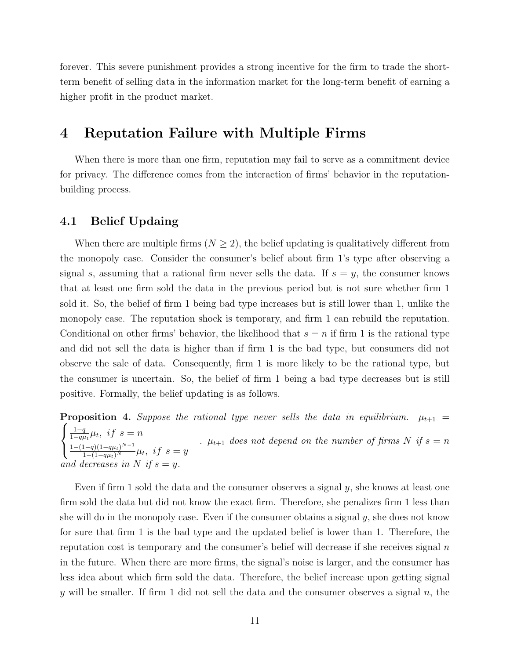forever. This severe punishment provides a strong incentive for the firm to trade the shortterm benefit of selling data in the information market for the long-term benefit of earning a higher profit in the product market.

# 4 Reputation Failure with Multiple Firms

When there is more than one firm, reputation may fail to serve as a commitment device for privacy. The difference comes from the interaction of firms' behavior in the reputationbuilding process.

#### 4.1 Belief Updaing

When there are multiple firms ( $N \geq 2$ ), the belief updating is qualitatively different from the monopoly case. Consider the consumer's belief about firm 1's type after observing a signal s, assuming that a rational firm never sells the data. If  $s = y$ , the consumer knows that at least one firm sold the data in the previous period but is not sure whether firm 1 sold it. So, the belief of firm 1 being bad type increases but is still lower than 1, unlike the monopoly case. The reputation shock is temporary, and firm 1 can rebuild the reputation. Conditional on other firms' behavior, the likelihood that  $s = n$  if firm 1 is the rational type and did not sell the data is higher than if firm 1 is the bad type, but consumers did not observe the sale of data. Consequently, firm 1 is more likely to be the rational type, but the consumer is uncertain. So, the belief of firm 1 being a bad type decreases but is still positive. Formally, the belief updating is as follows.

<span id="page-12-0"></span> $\sqrt{ }$ **Proposition 4.** Suppose the rational type never sells the data in equilibrium.  $\mu_{t+1}$  =  $\left| \right|$  $\mathcal{L}$  $1-q$  $\frac{1-q}{1-q\mu_t}\mu_t$ , if  $s=n$  $\frac{1-(1-q)(1-q\mu_t)^{N-1}}{1-(1-q\mu_t)^N}\mu_t$ , if  $s=y$ .  $\mu_{t+1}$  does not depend on the number of firms N if  $s = n$ and decreases in N if  $s = y$ .

Even if firm 1 sold the data and the consumer observes a signal  $y$ , she knows at least one firm sold the data but did not know the exact firm. Therefore, she penalizes firm 1 less than she will do in the monopoly case. Even if the consumer obtains a signal  $y$ , she does not know for sure that firm 1 is the bad type and the updated belief is lower than 1. Therefore, the reputation cost is temporary and the consumer's belief will decrease if she receives signal  $n$ in the future. When there are more firms, the signal's noise is larger, and the consumer has less idea about which firm sold the data. Therefore, the belief increase upon getting signal y will be smaller. If firm 1 did not sell the data and the consumer observes a signal  $n$ , the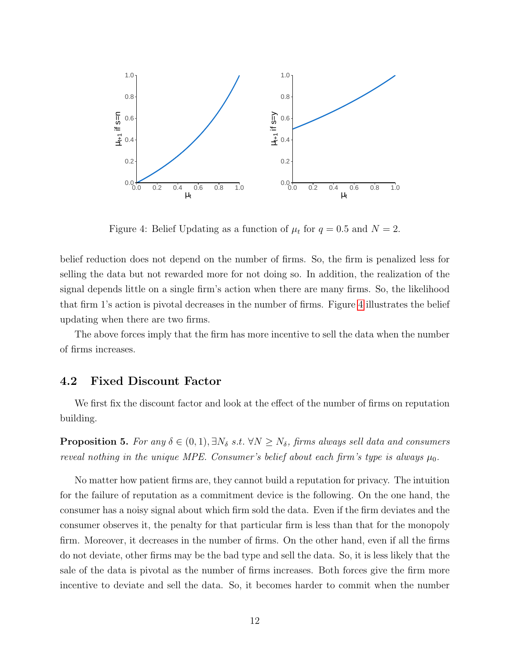

Figure 4: Belief Updating as a function of  $\mu_t$  for  $q = 0.5$  and  $N = 2$ .

belief reduction does not depend on the number of firms. So, the firm is penalized less for selling the data but not rewarded more for not doing so. In addition, the realization of the signal depends little on a single firm's action when there are many firms. So, the likelihood that firm 1's action is pivotal decreases in the number of firms. Figure [4](#page-12-0) illustrates the belief updating when there are two firms.

The above forces imply that the firm has more incentive to sell the data when the number of firms increases.

#### 4.2 Fixed Discount Factor

We first fix the discount factor and look at the effect of the number of firms on reputation building.

<span id="page-13-0"></span>**Proposition 5.** For any  $\delta \in (0, 1), \exists N_{\delta} \ s.t. \ \forall N \geq N_{\delta}$ , firms always sell data and consumers reveal nothing in the unique MPE. Consumer's belief about each firm's type is always  $\mu_0$ .

No matter how patient firms are, they cannot build a reputation for privacy. The intuition for the failure of reputation as a commitment device is the following. On the one hand, the consumer has a noisy signal about which firm sold the data. Even if the firm deviates and the consumer observes it, the penalty for that particular firm is less than that for the monopoly firm. Moreover, it decreases in the number of firms. On the other hand, even if all the firms do not deviate, other firms may be the bad type and sell the data. So, it is less likely that the sale of the data is pivotal as the number of firms increases. Both forces give the firm more incentive to deviate and sell the data. So, it becomes harder to commit when the number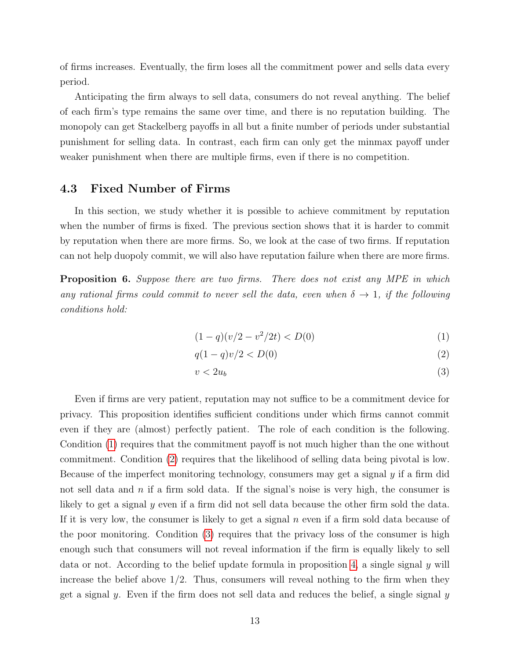of firms increases. Eventually, the firm loses all the commitment power and sells data every period.

Anticipating the firm always to sell data, consumers do not reveal anything. The belief of each firm's type remains the same over time, and there is no reputation building. The monopoly can get Stackelberg payoffs in all but a finite number of periods under substantial punishment for selling data. In contrast, each firm can only get the minmax payoff under weaker punishment when there are multiple firms, even if there is no competition.

#### 4.3 Fixed Number of Firms

In this section, we study whether it is possible to achieve commitment by reputation when the number of firms is fixed. The previous section shows that it is harder to commit by reputation when there are more firms. So, we look at the case of two firms. If reputation can not help duopoly commit, we will also have reputation failure when there are more firms.

<span id="page-14-3"></span>**Proposition 6.** Suppose there are two firms. There does not exist any MPE in which any rational firms could commit to never sell the data, even when  $\delta \to 1$ , if the following conditions hold:

<span id="page-14-0"></span>
$$
(1 - q)(v/2 - v^2/2t) < D(0) \tag{1}
$$

$$
q(1-q)v/2 < D(0) \tag{2}
$$

<span id="page-14-2"></span><span id="page-14-1"></span>
$$
v < 2u_b \tag{3}
$$

Even if firms are very patient, reputation may not suffice to be a commitment device for privacy. This proposition identifies sufficient conditions under which firms cannot commit even if they are (almost) perfectly patient. The role of each condition is the following. Condition [\(1\)](#page-14-0) requires that the commitment payoff is not much higher than the one without commitment. Condition [\(2\)](#page-14-1) requires that the likelihood of selling data being pivotal is low. Because of the imperfect monitoring technology, consumers may get a signal y if a firm did not sell data and  $n$  if a firm sold data. If the signal's noise is very high, the consumer is likely to get a signal y even if a firm did not sell data because the other firm sold the data. If it is very low, the consumer is likely to get a signal  $n$  even if a firm sold data because of the poor monitoring. Condition [\(3\)](#page-14-2) requires that the privacy loss of the consumer is high enough such that consumers will not reveal information if the firm is equally likely to sell data or not. According to the belief update formula in proposition [4,](#page-12-0) a single signal y will increase the belief above  $1/2$ . Thus, consumers will reveal nothing to the firm when they get a signal y. Even if the firm does not sell data and reduces the belief, a single signal  $y$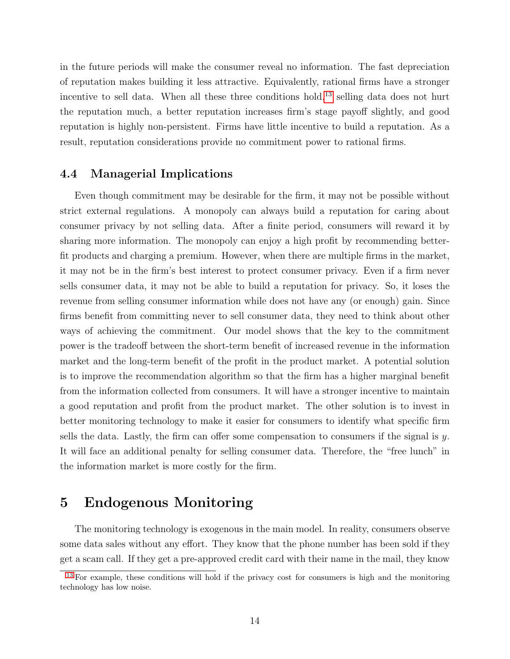<span id="page-15-1"></span>in the future periods will make the consumer reveal no information. The fast depreciation of reputation makes building it less attractive. Equivalently, rational firms have a stronger incentive to sell data. When all these three conditions hold,<sup>[13](#page-15-0)</sup> selling data does not hurt the reputation much, a better reputation increases firm's stage payoff slightly, and good reputation is highly non-persistent. Firms have little incentive to build a reputation. As a result, reputation considerations provide no commitment power to rational firms.

#### 4.4 Managerial Implications

Even though commitment may be desirable for the firm, it may not be possible without strict external regulations. A monopoly can always build a reputation for caring about consumer privacy by not selling data. After a finite period, consumers will reward it by sharing more information. The monopoly can enjoy a high profit by recommending betterfit products and charging a premium. However, when there are multiple firms in the market, it may not be in the firm's best interest to protect consumer privacy. Even if a firm never sells consumer data, it may not be able to build a reputation for privacy. So, it loses the revenue from selling consumer information while does not have any (or enough) gain. Since firms benefit from committing never to sell consumer data, they need to think about other ways of achieving the commitment. Our model shows that the key to the commitment power is the tradeoff between the short-term benefit of increased revenue in the information market and the long-term benefit of the profit in the product market. A potential solution is to improve the recommendation algorithm so that the firm has a higher marginal benefit from the information collected from consumers. It will have a stronger incentive to maintain a good reputation and profit from the product market. The other solution is to invest in better monitoring technology to make it easier for consumers to identify what specific firm sells the data. Lastly, the firm can offer some compensation to consumers if the signal is  $y$ . It will face an additional penalty for selling consumer data. Therefore, the "free lunch" in the information market is more costly for the firm.

### 5 Endogenous Monitoring

The monitoring technology is exogenous in the main model. In reality, consumers observe some data sales without any effort. They know that the phone number has been sold if they get a scam call. If they get a pre-approved credit card with their name in the mail, they know

<span id="page-15-0"></span><sup>&</sup>lt;sup>[13](#page-15-1)</sup> For example, these conditions will hold if the privacy cost for consumers is high and the monitoring technology has low noise.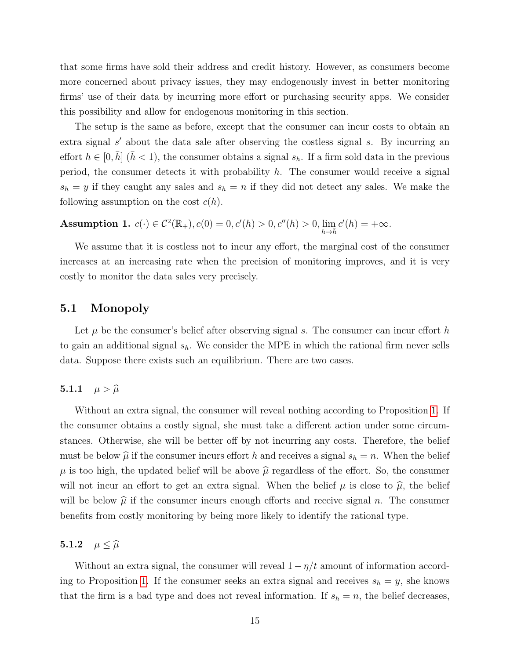that some firms have sold their address and credit history. However, as consumers become more concerned about privacy issues, they may endogenously invest in better monitoring firms' use of their data by incurring more effort or purchasing security apps. We consider this possibility and allow for endogenous monitoring in this section.

The setup is the same as before, except that the consumer can incur costs to obtain an extra signal  $s'$  about the data sale after observing the costless signal  $s$ . By incurring an effort  $h \in [0, \bar{h}]$  ( $\bar{h} < 1$ ), the consumer obtains a signal  $s_h$ . If a firm sold data in the previous period, the consumer detects it with probability  $h$ . The consumer would receive a signal  $s_h = y$  if they caught any sales and  $s_h = n$  if they did not detect any sales. We make the following assumption on the cost  $c(h)$ .

Assumption 1.  $c(\cdot) \in C^2(\mathbb{R}_+), c(0) = 0, c'(h) > 0, c''(h) > 0, \lim_{h \to \bar{h}} c'(h) = +\infty$ .

We assume that it is costless not to incur any effort, the marginal cost of the consumer increases at an increasing rate when the precision of monitoring improves, and it is very costly to monitor the data sales very precisely.

#### 5.1 Monopoly

Let  $\mu$  be the consumer's belief after observing signal s. The consumer can incur effort h to gain an additional signal  $s_h$ . We consider the MPE in which the rational firm never sells data. Suppose there exists such an equilibrium. There are two cases.

#### 5.1.1  $\mu > \widehat{\mu}$

Without an extra signal, the consumer will reveal nothing according to Proposition [1.](#page-8-3) If the consumer obtains a costly signal, she must take a different action under some circumstances. Otherwise, she will be better off by not incurring any costs. Therefore, the belief must be below  $\hat{\mu}$  if the consumer incurs effort h and receives a signal  $s_h = n$ . When the belief  $\mu$  is too high, the updated belief will be above  $\hat{\mu}$  regardless of the effort. So, the consumer will not incur an effort to get an extra signal. When the belief  $\mu$  is close to  $\hat{\mu}$ , the belief will be below  $\hat{\mu}$  if the consumer incurs enough efforts and receive signal n. The consumer benefits from costly monitoring by being more likely to identify the rational type.

#### 5.1.2  $\mu \leq \widehat{\mu}$

Without an extra signal, the consumer will reveal  $1 - \eta/t$  amount of information accord-ing to Proposition [1.](#page-8-3) If the consumer seeks an extra signal and receives  $s_h = y$ , she knows that the firm is a bad type and does not reveal information. If  $s_h = n$ , the belief decreases,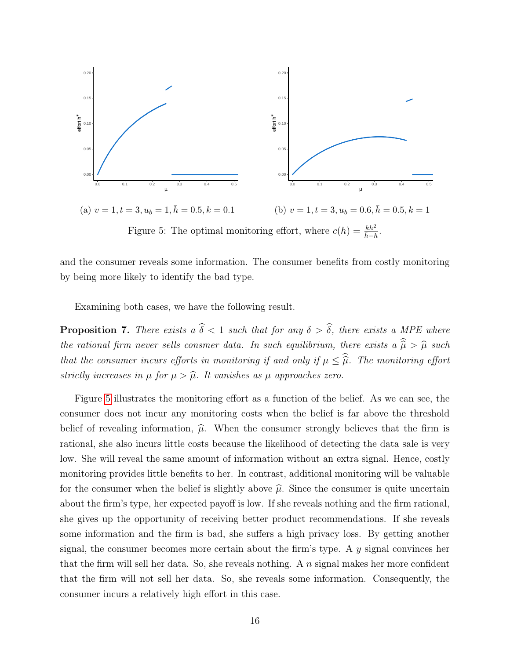<span id="page-17-0"></span>

Figure 5: The optimal monitoring effort, where  $c(h) = \frac{kh^2}{h-h}$ .

and the consumer reveals some information. The consumer benefits from costly monitoring by being more likely to identify the bad type.

Examining both cases, we have the following result.

<span id="page-17-1"></span>**Proposition 7.** There exists a  $\hat{\delta} < 1$  such that for any  $\delta > \hat{\delta}$ , there exists a MPE where the rational firm never sells consmer data. In such equilibrium, there exists a  $\widehat{\hat{\mu}} > \widehat{\mu}$  such that the consumer incurs efforts in monitoring if and only if  $\mu \leq \widehat{\widehat{\mu}}$ . The monitoring effort strictly increases in  $\mu$  for  $\mu > \hat{\mu}$ . It vanishes as  $\mu$  approaches zero.

Figure [5](#page-17-0) illustrates the monitoring effort as a function of the belief. As we can see, the consumer does not incur any monitoring costs when the belief is far above the threshold belief of revealing information,  $\hat{\mu}$ . When the consumer strongly believes that the firm is rational, she also incurs little costs because the likelihood of detecting the data sale is very low. She will reveal the same amount of information without an extra signal. Hence, costly monitoring provides little benefits to her. In contrast, additional monitoring will be valuable for the consumer when the belief is slightly above  $\hat{\mu}$ . Since the consumer is quite uncertain about the firm's type, her expected payoff is low. If she reveals nothing and the firm rational, she gives up the opportunity of receiving better product recommendations. If she reveals some information and the firm is bad, she suffers a high privacy loss. By getting another signal, the consumer becomes more certain about the firm's type. A y signal convinces her that the firm will sell her data. So, she reveals nothing. A  $n$  signal makes her more confident that the firm will not sell her data. So, she reveals some information. Consequently, the consumer incurs a relatively high effort in this case.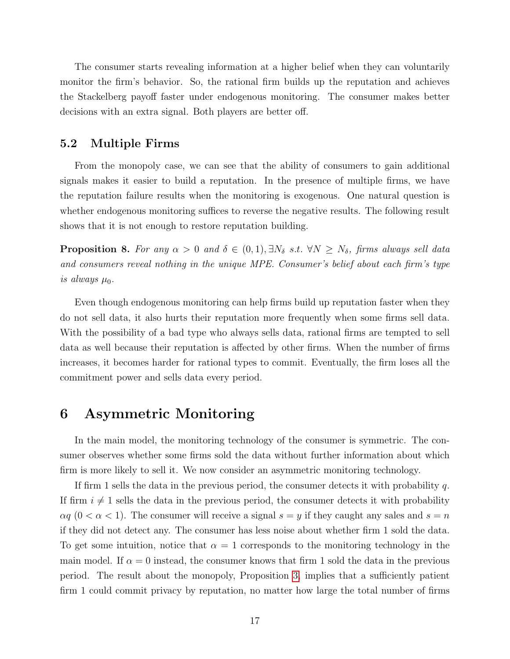The consumer starts revealing information at a higher belief when they can voluntarily monitor the firm's behavior. So, the rational firm builds up the reputation and achieves the Stackelberg payoff faster under endogenous monitoring. The consumer makes better decisions with an extra signal. Both players are better off.

#### 5.2 Multiple Firms

From the monopoly case, we can see that the ability of consumers to gain additional signals makes it easier to build a reputation. In the presence of multiple firms, we have the reputation failure results when the monitoring is exogenous. One natural question is whether endogenous monitoring suffices to reverse the negative results. The following result shows that it is not enough to restore reputation building.

<span id="page-18-0"></span>**Proposition 8.** For any  $\alpha > 0$  and  $\delta \in (0, 1)$ ,  $\exists N_{\delta}$  s.t.  $\forall N \geq N_{\delta}$ , firms always sell data and consumers reveal nothing in the unique MPE. Consumer's belief about each firm's type is always  $\mu_0$ .

Even though endogenous monitoring can help firms build up reputation faster when they do not sell data, it also hurts their reputation more frequently when some firms sell data. With the possibility of a bad type who always sells data, rational firms are tempted to sell data as well because their reputation is affected by other firms. When the number of firms increases, it becomes harder for rational types to commit. Eventually, the firm loses all the commitment power and sells data every period.

### 6 Asymmetric Monitoring

In the main model, the monitoring technology of the consumer is symmetric. The consumer observes whether some firms sold the data without further information about which firm is more likely to sell it. We now consider an asymmetric monitoring technology.

If firm 1 sells the data in the previous period, the consumer detects it with probability  $q$ . If firm  $i \neq 1$  sells the data in the previous period, the consumer detects it with probability  $\alpha q$  ( $0 < \alpha < 1$ ). The consumer will receive a signal  $s = y$  if they caught any sales and  $s = n$ if they did not detect any. The consumer has less noise about whether firm 1 sold the data. To get some intuition, notice that  $\alpha = 1$  corresponds to the monitoring technology in the main model. If  $\alpha = 0$  instead, the consumer knows that firm 1 sold the data in the previous period. The result about the monopoly, Proposition [3,](#page-11-0) implies that a sufficiently patient firm 1 could commit privacy by reputation, no matter how large the total number of firms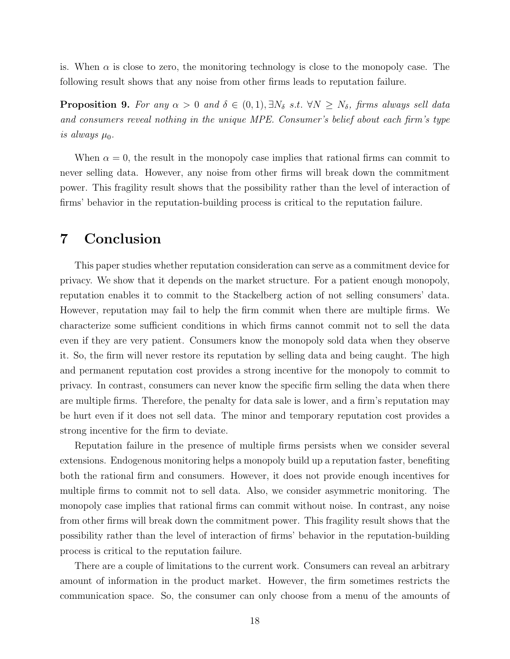is. When  $\alpha$  is close to zero, the monitoring technology is close to the monopoly case. The following result shows that any noise from other firms leads to reputation failure.

<span id="page-19-0"></span>**Proposition 9.** For any  $\alpha > 0$  and  $\delta \in (0, 1), \exists N_{\delta}$  s.t.  $\forall N \geq N_{\delta}$ , firms always sell data and consumers reveal nothing in the unique MPE. Consumer's belief about each firm's type is always  $\mu_0$ .

When  $\alpha = 0$ , the result in the monopoly case implies that rational firms can commit to never selling data. However, any noise from other firms will break down the commitment power. This fragility result shows that the possibility rather than the level of interaction of firms' behavior in the reputation-building process is critical to the reputation failure.

### 7 Conclusion

This paper studies whether reputation consideration can serve as a commitment device for privacy. We show that it depends on the market structure. For a patient enough monopoly, reputation enables it to commit to the Stackelberg action of not selling consumers' data. However, reputation may fail to help the firm commit when there are multiple firms. We characterize some sufficient conditions in which firms cannot commit not to sell the data even if they are very patient. Consumers know the monopoly sold data when they observe it. So, the firm will never restore its reputation by selling data and being caught. The high and permanent reputation cost provides a strong incentive for the monopoly to commit to privacy. In contrast, consumers can never know the specific firm selling the data when there are multiple firms. Therefore, the penalty for data sale is lower, and a firm's reputation may be hurt even if it does not sell data. The minor and temporary reputation cost provides a strong incentive for the firm to deviate.

Reputation failure in the presence of multiple firms persists when we consider several extensions. Endogenous monitoring helps a monopoly build up a reputation faster, benefiting both the rational firm and consumers. However, it does not provide enough incentives for multiple firms to commit not to sell data. Also, we consider asymmetric monitoring. The monopoly case implies that rational firms can commit without noise. In contrast, any noise from other firms will break down the commitment power. This fragility result shows that the possibility rather than the level of interaction of firms' behavior in the reputation-building process is critical to the reputation failure.

There are a couple of limitations to the current work. Consumers can reveal an arbitrary amount of information in the product market. However, the firm sometimes restricts the communication space. So, the consumer can only choose from a menu of the amounts of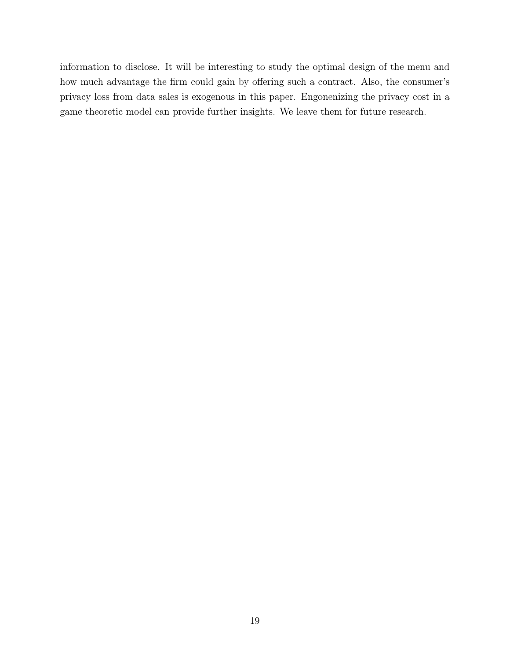information to disclose. It will be interesting to study the optimal design of the menu and how much advantage the firm could gain by offering such a contract. Also, the consumer's privacy loss from data sales is exogenous in this paper. Engonenizing the privacy cost in a game theoretic model can provide further insights. We leave them for future research.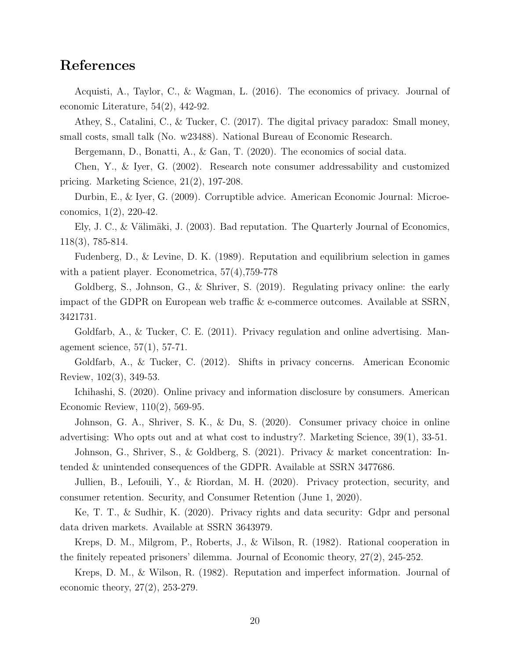# References

Acquisti, A., Taylor, C., & Wagman, L. (2016). The economics of privacy. Journal of economic Literature, 54(2), 442-92.

Athey, S., Catalini, C., & Tucker, C. (2017). The digital privacy paradox: Small money, small costs, small talk (No. w23488). National Bureau of Economic Research.

Bergemann, D., Bonatti, A., & Gan, T. (2020). The economics of social data.

Chen, Y., & Iyer, G. (2002). Research note consumer addressability and customized pricing. Marketing Science, 21(2), 197-208.

Durbin, E., & Iyer, G. (2009). Corruptible advice. American Economic Journal: Microeconomics, 1(2), 220-42.

Ely, J. C., & Välimäki, J.  $(2003)$ . Bad reputation. The Quarterly Journal of Economics, 118(3), 785-814.

Fudenberg, D., & Levine, D. K. (1989). Reputation and equilibrium selection in games with a patient player. Econometrica, 57(4),759-778

Goldberg, S., Johnson, G., & Shriver, S. (2019). Regulating privacy online: the early impact of the GDPR on European web traffic & e-commerce outcomes. Available at SSRN, 3421731.

Goldfarb, A., & Tucker, C. E. (2011). Privacy regulation and online advertising. Management science, 57(1), 57-71.

Goldfarb, A., & Tucker, C. (2012). Shifts in privacy concerns. American Economic Review, 102(3), 349-53.

Ichihashi, S. (2020). Online privacy and information disclosure by consumers. American Economic Review, 110(2), 569-95.

Johnson, G. A., Shriver, S. K., & Du, S. (2020). Consumer privacy choice in online advertising: Who opts out and at what cost to industry?. Marketing Science, 39(1), 33-51.

Johnson, G., Shriver, S., & Goldberg, S. (2021). Privacy & market concentration: Intended & unintended consequences of the GDPR. Available at SSRN 3477686.

Jullien, B., Lefouili, Y., & Riordan, M. H. (2020). Privacy protection, security, and consumer retention. Security, and Consumer Retention (June 1, 2020).

Ke, T. T., & Sudhir, K. (2020). Privacy rights and data security: Gdpr and personal data driven markets. Available at SSRN 3643979.

Kreps, D. M., Milgrom, P., Roberts, J., & Wilson, R. (1982). Rational cooperation in the finitely repeated prisoners' dilemma. Journal of Economic theory, 27(2), 245-252.

Kreps, D. M., & Wilson, R. (1982). Reputation and imperfect information. Journal of economic theory, 27(2), 253-279.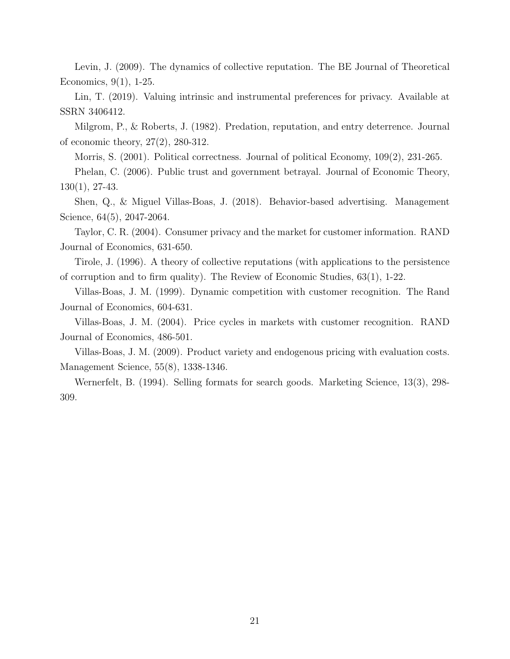Levin, J. (2009). The dynamics of collective reputation. The BE Journal of Theoretical Economics, 9(1), 1-25.

Lin, T. (2019). Valuing intrinsic and instrumental preferences for privacy. Available at SSRN 3406412.

Milgrom, P., & Roberts, J. (1982). Predation, reputation, and entry deterrence. Journal of economic theory, 27(2), 280-312.

Morris, S. (2001). Political correctness. Journal of political Economy, 109(2), 231-265.

Phelan, C. (2006). Public trust and government betrayal. Journal of Economic Theory, 130(1), 27-43.

Shen, Q., & Miguel Villas-Boas, J. (2018). Behavior-based advertising. Management Science, 64(5), 2047-2064.

Taylor, C. R. (2004). Consumer privacy and the market for customer information. RAND Journal of Economics, 631-650.

Tirole, J. (1996). A theory of collective reputations (with applications to the persistence of corruption and to firm quality). The Review of Economic Studies, 63(1), 1-22.

Villas-Boas, J. M. (1999). Dynamic competition with customer recognition. The Rand Journal of Economics, 604-631.

Villas-Boas, J. M. (2004). Price cycles in markets with customer recognition. RAND Journal of Economics, 486-501.

Villas-Boas, J. M. (2009). Product variety and endogenous pricing with evaluation costs. Management Science, 55(8), 1338-1346.

Wernerfelt, B. (1994). Selling formats for search goods. Marketing Science, 13(3), 298- 309.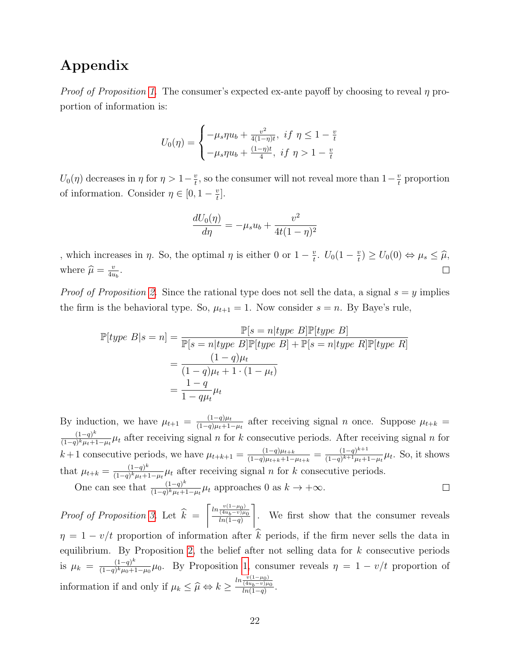# Appendix

*Proof of Proposition [1.](#page-8-3)* The consumer's expected ex-ante payoff by choosing to reveal  $\eta$  proportion of information is:

$$
U_0(\eta) = \begin{cases} -\mu_s \eta u_b + \frac{v^2}{4(1-\eta)t}, & \text{if } \eta \le 1 - \frac{v}{t} \\ -\mu_s \eta u_b + \frac{(1-\eta)t}{4}, & \text{if } \eta > 1 - \frac{v}{t} \end{cases}
$$

 $U_0(\eta)$  decreases in  $\eta$  for  $\eta > 1-\frac{\nu}{t}$  $\frac{v}{t}$ , so the consumer will not reveal more than  $1-\frac{v}{t}$  $\frac{v}{t}$  proportion of information. Consider  $\eta \in [0, 1 - \frac{v}{t}]$  $\frac{v}{t}$ .

$$
\frac{dU_0(\eta)}{d\eta} = -\mu_s u_b + \frac{v^2}{4t(1-\eta)^2}
$$

, which increases in  $\eta$ . So, the optimal  $\eta$  is either 0 or  $1 - \frac{\nu}{t}$  $\frac{v}{t}$ .  $U_0(1-\frac{v}{t})$  $\left(\frac{v}{t}\right) \geq U_0(0) \Leftrightarrow \mu_s \leq \widehat{\mu},$ where  $\hat{\mu} = \frac{v}{4u}$  $\frac{v}{4u_b}$ .

*Proof of Proposition [2.](#page-11-1)* Since the rational type does not sell the data, a signal  $s = y$  implies the firm is the behavioral type. So,  $\mu_{t+1} = 1$ . Now consider  $s = n$ . By Baye's rule,

$$
\mathbb{P}[type\ B|s=n] = \frac{\mathbb{P}[s=n|type\ B]\mathbb{P}[type\ B]}{\mathbb{P}[s=n|type\ B]\mathbb{P}[type\ B] + \mathbb{P}[s=n|type\ R]\mathbb{P}[type\ R]}
$$

$$
= \frac{(1-q)\mu_t}{(1-q)\mu_t + 1 \cdot (1-\mu_t)}
$$

$$
= \frac{1-q}{1-q\mu_t}\mu_t
$$

By induction, we have  $\mu_{t+1} = \frac{(1-q)\mu_t}{(1-q)\mu_{t+1}}$  $\frac{(1-q)\mu_t}{(1-q)\mu_t+1-\mu_t}$  after receiving signal *n* once. Suppose  $\mu_{t+k}$  $(1-q)^k$  $\frac{(1-q)^k}{(1-q)^k \mu + 1-\mu_t} \mu_t$  after receiving signal n for k consecutive periods. After receiving signal n for  $\frac{(1-q)\mu_{t+k}}{(1-q)\mu_{t+k}+1-\mu_{t+k}} = \frac{(1-q)^{k+1}}{(1-q)^{k+1}\mu_t+1}$ k + 1 consecutive periods, we have  $\mu_{t+k+1} = \frac{(1-q)\mu_{t+k}}{(1-q)\mu_{t+k}+1}$  $\frac{(1-q)^{k+1}}{(1-q)^{k+1}\mu_t+1-\mu_t}\mu_t$ . So, it shows k that  $\mu_{t+k} = \frac{(1-q)}{(1-q)^k \mu_{t+k}}$  $\frac{(1-q)^n}{(1-q)^k \mu_t+1-\mu_t} \mu_t$  after receiving signal n for k consecutive periods. One can see that  $\frac{(1-q)^k}{(1-q)^k p!}$  $\frac{(1-q)^k}{(1-q)^k\mu_t+1-\mu_t}\mu_t$  approaches 0 as  $k \to +\infty$ .  $\Box$ 

*Proof of Proposition [3.](#page-11-0)* Let  $k =$  $\int \frac{\ln \frac{v(1-\mu_0)}{(4u_b-v)\mu_0}}{u}$  $ln(1-q)$ 1 . We first show that the consumer reveals  $\eta = 1 - v/t$  proportion of information after k periods, if the firm never sells the data in equilibrium. By Proposition [2,](#page-11-1) the belief after not selling data for  $k$  consecutive periods is  $\mu_k = \frac{(1-q)^k}{(1-q)^k \mu_0 + 1}$  $\frac{(1-q)^n}{(1-q)^k\mu_0+1-\mu_0}\mu_0$ . By Proposition [1,](#page-8-3) consumer reveals  $\eta = 1 - v/t$  proportion of information if and only if  $\mu_k \leq \widehat{\mu} \Leftrightarrow k \geq$  $\frac{ln\frac{v(1-\mu_0)}{(4u_b-v)\mu_0}}{u}$  $\frac{(4u_b-v)\mu_0}{ln(1-q)}$ .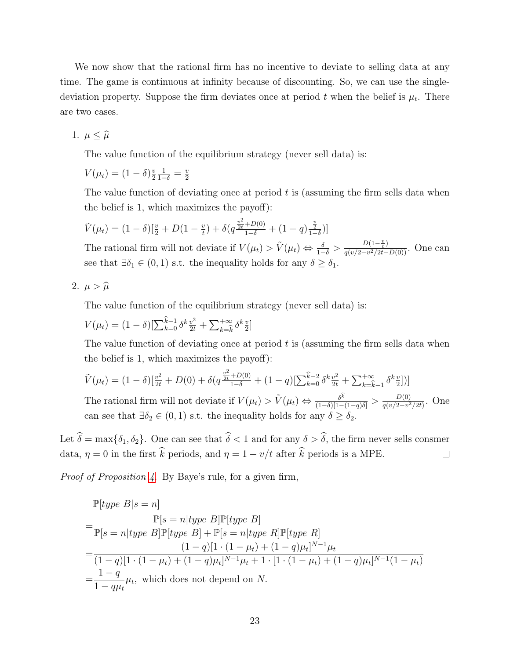We now show that the rational firm has no incentive to deviate to selling data at any time. The game is continuous at infinity because of discounting. So, we can use the singledeviation property. Suppose the firm deviates once at period  $t$  when the belief is  $\mu_t$ . There are two cases.

1.  $\mu \leq \widehat{\mu}$ 

The value function of the equilibrium strategy (never sell data) is:

 $V(\mu_t) = (1 - \delta)^{\frac{v}{2}}$ 2  $\frac{1}{1-\delta}=\frac{v}{2}$ 2

The value function of deviating once at period  $t$  is (assuming the firm sells data when the belief is 1, which maximizes the payoff):

$$
\tilde{V}(\mu_t) = (1 - \delta) \left[ \frac{v}{2} + D(1 - \frac{v}{t}) + \delta \left( q \frac{\frac{v^2}{2t} + D(0)}{1 - \delta} + (1 - q) \frac{\frac{v}{2}}{1 - \delta} \right) \right]
$$

The rational firm will not deviate if  $V(\mu_t) > \tilde{V}(\mu_t) \Leftrightarrow \frac{\delta}{1-\delta} > \frac{D(1-\frac{v}{t})}{q(v/2-v^2/2t-1)}$  $\frac{D(1-\frac{1}{t})}{q(v/2-v^2/2t-D(0))}$ . One can see that  $\exists \delta_1 \in (0,1)$  s.t. the inequality holds for any  $\delta \geq \delta_1$ .

$$
2. \ \mu > \widehat{\mu}
$$

The value function of the equilibrium strategy (never sell data) is:

 $V(\mu_t) = (1 - \delta) \left[ \sum_{k=0}^{k-1} \delta^k \frac{v^2}{2t} + \sum_{k=\hat{k}}^{+\infty} \delta^k \frac{v^2}{2} \right]$  $\frac{v}{2}$ ]

The value function of deviating once at period  $t$  is (assuming the firm sells data when the belief is 1, which maximizes the payoff):

$$
\tilde{V}(\mu_t) = (1 - \delta) \left[ \frac{v^2}{2t} + D(0) + \delta \left( q \frac{v^2}{2t} + D(0) + (1 - q) \left[ \sum_{k=0}^{\hat{k}-2} \delta^k \frac{v^2}{2t} + \sum_{k=\hat{k}-1}^{+\infty} \delta^k \frac{v}{2} \right] \right) \right]
$$

The rational firm will not deviate if  $V(\mu_t) > \tilde{V}(\mu_t) \Leftrightarrow \frac{\delta^k}{(1-\delta)[1-(1-q)\delta]} > \frac{D(0)}{q(v/2-v^2)}$  $\frac{D(0)}{q(v/2-v^2/2t)}$ . One can see that  $\exists \delta_2 \in (0,1)$  s.t. the inequality holds for any  $\delta \geq \delta_2$ .

Let  $\hat{\delta} = \max{\{\delta_1, \delta_2\}}$ . One can see that  $\hat{\delta} < 1$  and for any  $\delta > \hat{\delta}$ , the firm never sells consmer data,  $\eta = 0$  in the first  $\hat{k}$  periods, and  $\eta = 1 - v/t$  after  $\hat{k}$  periods is a MPE.  $\Box$ 

Proof of Proposition [4.](#page-12-0) By Baye's rule, for a given firm,

$$
\mathbb{P}[type\ B|s=n] \n= \frac{\mathbb{P}[s=n|type\ B]\mathbb{P}[type\ B]}{\mathbb{P}[s=n|type\ B]\mathbb{P}[type\ B] + \mathbb{P}[s=n|type\ R]\mathbb{P}[type\ R]} \n= \frac{(1-q)[1\cdot(1-\mu_t)+(1-q)\mu_t]^{N-1}\mu_t}{(1-q)[1\cdot(1-\mu_t)+(1-q)\mu_t]^{N-1}\mu_t+1\cdot[1\cdot(1-\mu_t)+(1-q)\mu_t]^{N-1}(1-\mu_t)} \n= \frac{1-q}{1-q\mu_t}\mu_t, \text{ which does not depend on } N.
$$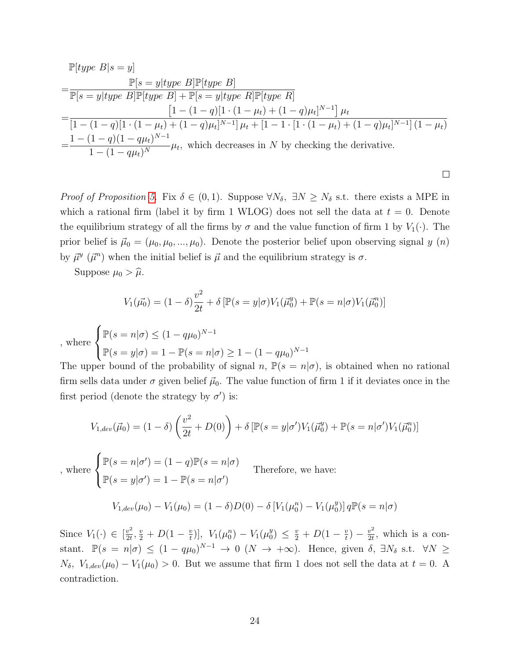$$
\mathbb{P}[type\ B|s=y] \n= \frac{\mathbb{P}[s=y|type\ B]\mathbb{P}[type\ B]}{\mathbb{P}[s=y|type\ B]\mathbb{P}[type\ B] + \mathbb{P}[s=y|type\ R]\mathbb{P}[type\ R]} \n= \frac{[1-(1-q)[1\cdot(1-\mu_t)+(1-q)\mu_t]^{N-1}]\mu_t}{[1-(1-q)[1\cdot(1-\mu_t)+(1-q)\mu_t]^{N-1}]\mu_t + [1-1\cdot[1\cdot(1-\mu_t)+(1-q)\mu_t]^{N-1}](1-\mu_t)} \n= \frac{1-(1-q)(1-q\mu_t)^{N-1}}{1-(1-q\mu_t)^N}\mu_t, \text{ which decreases in } N \text{ by checking the derivative.}
$$

*Proof of Proposition [5.](#page-13-0)* Fix  $\delta \in (0,1)$ . Suppose  $\forall N_{\delta}, \exists N \geq N_{\delta}$  s.t. there exists a MPE in which a rational firm (label it by firm 1 WLOG) does not sell the data at  $t = 0$ . Denote the equilibrium strategy of all the firms by  $\sigma$  and the value function of firm 1 by  $V_1(\cdot)$ . The prior belief is  $\vec{\mu}_0 = (\mu_0, \mu_0, ..., \mu_0)$ . Denote the posterior belief upon observing signal y  $(n)$ by  $\vec{\mu}^y$  ( $\vec{\mu}^n$ ) when the initial belief is  $\vec{\mu}$  and the equilibrium strategy is  $\sigma$ .

 $\Box$ 

Suppose  $\mu_0 > \hat{\mu}$ .

$$
V_1(\vec{\mu_0}) = (1 - \delta) \frac{v^2}{2t} + \delta \left[ \mathbb{P}(s = y | \sigma) V_1(\vec{\mu_0}) + \mathbb{P}(s = n | \sigma) V_1(\vec{\mu_0}) \right]
$$

, whe

$$
\text{here } \begin{cases} \mathbb{P}(s = n | \sigma) \le (1 - q\mu_0)^{N-1} \\ \mathbb{P}(s = y | \sigma) = 1 - \mathbb{P}(s = n | \sigma) \ge 1 - (1 - q\mu_0)^{N-1} \end{cases}
$$

The upper bound of the probability of signal n,  $\mathbb{P}(s = n | \sigma)$ , is obtained when no rational firm sells data under  $\sigma$  given belief  $\vec{\mu}_0$ . The value function of firm 1 if it deviates once in the first period (denote the strategy by  $\sigma'$ ) is:

$$
V_{1,dev}(\vec{\mu}_0) = (1 - \delta) \left(\frac{v^2}{2t} + D(0)\right) + \delta \left[\mathbb{P}(s = y | \sigma')V_1(\vec{\mu}_0^y) + \mathbb{P}(s = n | \sigma')V_1(\vec{\mu}_0^n)\right]
$$

$$
\int \mathbb{P}(s = n | \sigma') = (1 - q)\mathbb{P}(s = n | \sigma)
$$

, where  $\int$  $\mathcal{L}$  $\mathbb{P}(s = y | \sigma') = 1 - \mathbb{P}(s = n | \sigma')$ Therefore, we have:

$$
V_{1,dev}(\mu_0) - V_1(\mu_0) = (1 - \delta)D(0) - \delta[V_1(\mu_0^n) - V_1(\mu_0^y)]q\mathbb{P}(s = n|\sigma)
$$

Since  $V_1(\cdot) \in \left[\frac{v^2}{2t}\right]$  $\frac{v^2}{2t}, \frac{v}{2} + D(1-\frac{v}{t})$  $\left[\begin{array}{cc} \frac{v}{t} \end{array}\right], V_1(\mu_0^n) - V_1(\mu_0^y)$  $\binom{y}{0} \leq \frac{v}{2} + D(1 - \frac{v}{t})$  $\frac{v}{t}$ ) –  $\frac{v^2}{2t}$  $\frac{v^2}{2t}$ , which is a constant.  $\mathbb{P}(s = n | \sigma) \le (1 - q\mu_0)^{N-1} \to 0 \ (N \to +\infty)$ . Hence, given  $\delta$ ,  $\exists N_{\delta}$  s.t.  $\forall N \ge$  $N_{\delta}$ ,  $V_{1,dev}(\mu_0) - V_1(\mu_0) > 0$ . But we assume that firm 1 does not sell the data at  $t = 0$ . A contradiction.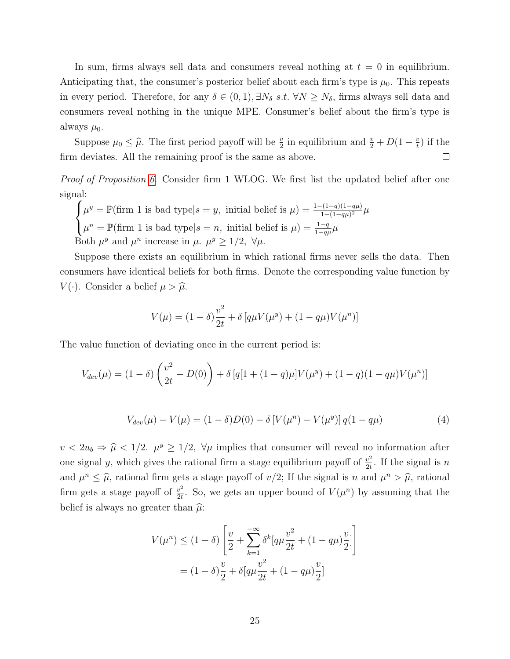In sum, firms always sell data and consumers reveal nothing at  $t = 0$  in equilibrium. Anticipating that, the consumer's posterior belief about each firm's type is  $\mu_0$ . This repeats in every period. Therefore, for any  $\delta \in (0,1), \exists N_{\delta} s.t. \forall N \ge N_{\delta}$ , firms always sell data and consumers reveal nothing in the unique MPE. Consumer's belief about the firm's type is always  $\mu_0$ .

Suppose  $\mu_0 \leq \hat{\mu}$ . The first period payoff will be  $\frac{v}{2}$  in equilibrium and  $\frac{v}{2} + D(1 - \frac{v}{t})$  $\frac{v}{t}$ ) if the firm deviates. All the remaining proof is the same as above.  $\Box$ 

Proof of Proposition [6.](#page-14-3) Consider firm 1 WLOG. We first list the updated belief after one signal:

 $\sqrt{ }$  $\int$  $\mathcal{L}$  $\mu^y = \mathbb{P}(\text{firm 1 is bad type}|s = y, \text{ initial belief is } \mu) = \frac{1 - (1 - q)(1 - q\mu)}{1 - (1 - q\mu)^2} \mu$  $\mu^n = \mathbb{P}(\text{firm 1 is bad type}|s = n, \text{ initial belief is } \mu) = \frac{1-q}{1-q\mu}\mu$ Both  $\mu^y$  and  $\mu^n$  increase in  $\mu$ .  $\mu^y \geq 1/2$ ,  $\forall \mu$ .

Suppose there exists an equilibrium in which rational firms never sells the data. Then consumers have identical beliefs for both firms. Denote the corresponding value function by  $V(\cdot)$ . Consider a belief  $\mu > \hat{\mu}$ .

<span id="page-26-0"></span>
$$
V(\mu) = (1 - \delta) \frac{v^2}{2t} + \delta [q\mu V(\mu^y) + (1 - q\mu)V(\mu^n)]
$$

The value function of deviating once in the current period is:

$$
V_{dev}(\mu) = (1 - \delta) \left( \frac{v^2}{2t} + D(0) \right) + \delta [q[1 + (1 - q)\mu]V(\mu^y) + (1 - q)(1 - q\mu)V(\mu^n)]
$$

$$
V_{dev}(\mu) - V(\mu) = (1 - \delta)D(0) - \delta[V(\mu^n) - V(\mu^y)]q(1 - q\mu)
$$
\n(4)

 $v < 2u_b \Rightarrow \hat{\mu} < 1/2$ .  $\mu^y \ge 1/2$ ,  $\forall \mu$  implies that consumer will reveal no information after one signal y, which gives the rational firm a stage equilibrium payoff of  $\frac{v^2}{2}$  $\frac{v^2}{2t}$ . If the signal is *n* and  $\mu^n \leq \hat{\mu}$ , rational firm gets a stage payoff of  $v/2$ ; If the signal is n and  $\mu^n > \hat{\mu}$ , rational firm gets a stage payoff of  $\frac{v^2}{2t}$  $\frac{v^2}{2t}$ . So, we gets an upper bound of  $V(\mu^n)$  by assuming that the belief is always no greater than  $\hat{\mu}$ :

$$
V(\mu^n) \le (1 - \delta) \left[ \frac{v}{2} + \sum_{k=1}^{+\infty} \delta^k [q\mu \frac{v^2}{2t} + (1 - q\mu) \frac{v}{2}] \right]
$$
  
=  $(1 - \delta) \frac{v}{2} + \delta [q\mu \frac{v^2}{2t} + (1 - q\mu) \frac{v}{2}]$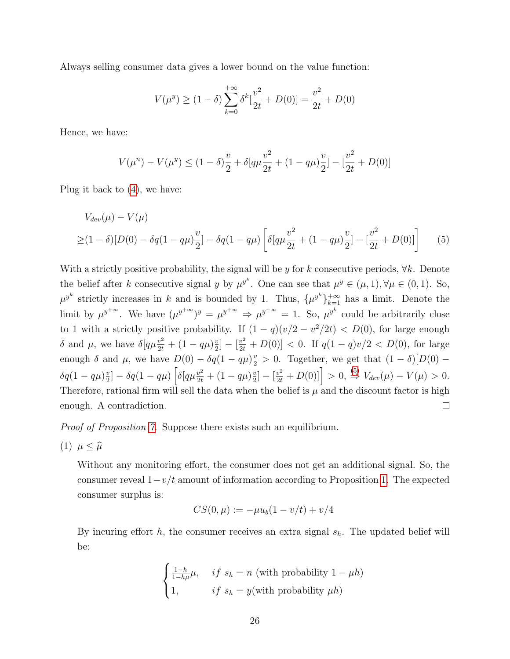Always selling consumer data gives a lower bound on the value function:

<span id="page-27-0"></span>
$$
V(\mu^y) \ge (1 - \delta) \sum_{k=0}^{+\infty} \delta^k \left[ \frac{v^2}{2t} + D(0) \right] = \frac{v^2}{2t} + D(0)
$$

Hence, we have:

$$
V(\mu^{n}) - V(\mu^{y}) \le (1 - \delta)\frac{v}{2} + \delta[q\mu\frac{v^{2}}{2t} + (1 - q\mu)\frac{v}{2}] - \left[\frac{v^{2}}{2t} + D(0)\right]
$$

Plug it back to [\(4\)](#page-26-0), we have:

$$
V_{dev}(\mu) - V(\mu)
$$
  
\n
$$
\geq (1 - \delta)[D(0) - \delta q(1 - q\mu)\frac{v}{2}] - \delta q(1 - q\mu) \left[ \delta[q\mu\frac{v^2}{2t} + (1 - q\mu)\frac{v}{2}] - [\frac{v^2}{2t} + D(0)] \right]
$$
 (5)

With a strictly positive probability, the signal will be y for k consecutive periods,  $\forall k$ . Denote the belief after k consecutive signal y by  $\mu^{y^k}$ . One can see that  $\mu^y \in (\mu, 1), \forall \mu \in (0, 1)$ . So,  $\mu^{y^k}$  strictly increases in k and is bounded by 1. Thus,  $\{\mu^{y^k}\}_{k=1}^{+\infty}$  has a limit. Denote the limit by  $\mu^{y+\infty}$ . We have  $(\mu^{y+\infty})^y = {\mu^{y+\infty}} \Rightarrow {\mu^{y+\infty}} = 1$ . So,  $\mu^{y^k}$  could be arbitrarily close to 1 with a strictly positive probability. If  $(1 - q)(v/2 - v^2/2t) < D(0)$ , for large enough δ and μ, we have  $\delta[q\mu\frac{v^2}{2t} + (1 - q\mu)\frac{v}{2}]$  $\frac{v}{2}$ ] –  $\left[\frac{v^2}{2t} + D(0)\right] < 0$ . If  $q(1-q)v/2 < D(0)$ , for large enough  $\delta$  and  $\mu$ , we have  $D(0) - \delta q(1 - q\mu)\frac{v}{2} > 0$ . Together, we get that  $(1 - \delta)[D(0) \frac{v}{2}$ ] –  $\delta q(1 - q\mu) \left[ \delta [q\mu \frac{v^2}{2t} + (1 - q\mu)\frac{v}{2} \right]$  $\left[\frac{v}{2l} - \left[\frac{v^2}{2t} + D(0)\right]\right] > 0, \stackrel{(5)}{\Rightarrow} V_{dev}(\mu) - V(\mu) > 0.$  $\left[\frac{v}{2l} - \left[\frac{v^2}{2t} + D(0)\right]\right] > 0, \stackrel{(5)}{\Rightarrow} V_{dev}(\mu) - V(\mu) > 0.$  $\left[\frac{v}{2l} - \left[\frac{v^2}{2t} + D(0)\right]\right] > 0, \stackrel{(5)}{\Rightarrow} V_{dev}(\mu) - V(\mu) > 0.$  $\delta q(1-q\mu)^{\frac{v}{2}}$ Therefore, rational firm will sell the data when the belief is  $\mu$  and the discount factor is high enough. A contradiction.  $\Box$ 

Proof of Proposition [7.](#page-17-1) Suppose there exists such an equilibrium.

$$
(1) \ \mu \leq \widehat{\mu}
$$

Without any monitoring effort, the consumer does not get an additional signal. So, the consumer reveal  $1-v/t$  amount of information according to Proposition [1.](#page-8-3) The expected consumer surplus is:

$$
CS(0, \mu) := -\mu u_b (1 - v/t) + v/4
$$

By incuring effort  $h$ , the consumer receives an extra signal  $s_h$ . The updated belief will be:

$$
\begin{cases} \frac{1-h}{1-h\mu}\mu, & if s_h = n \text{ (with probability } 1 - \mu h) \\ 1, & if s_h = y(\text{with probability } \mu h) \end{cases}
$$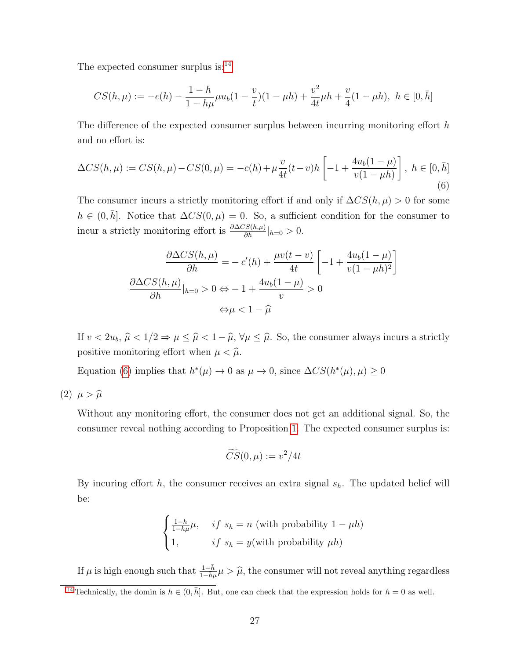The expected consumer surplus is:<sup>[14](#page-28-0)</sup>

<span id="page-28-2"></span>
$$
CS(h,\mu) := -c(h) - \frac{1-h}{1-h\mu}\mu u_b(1-\frac{v}{t})(1-\mu h) + \frac{v^2}{4t}\mu h + \frac{v}{4}(1-\mu h), \ h \in [0,\bar{h}]
$$

The difference of the expected consumer surplus between incurring monitoring effort  $h$ and no effort is:

<span id="page-28-1"></span>
$$
\Delta CS(h,\mu) := CS(h,\mu) - CS(0,\mu) = -c(h) + \mu \frac{v}{4t}(t-v)h \left[ -1 + \frac{4u_b(1-\mu)}{v(1-\mu h)} \right], \ h \in [0,\bar{h}]
$$
\n(6)

The consumer incurs a strictly monitoring effort if and only if  $\Delta CS(h, \mu) > 0$  for some  $h \in (0, \bar{h}]$ . Notice that  $\Delta CS(0, \mu) = 0$ . So, a sufficient condition for the consumer to incur a strictly monitoring effort is  $\frac{\partial \Delta CS(h,\mu)}{\partial h}|_{h=0} > 0$ .

$$
\frac{\partial \Delta CS(h,\mu)}{\partial h} = -c'(h) + \frac{\mu v(t-v)}{4t} \left[ -1 + \frac{4u_b(1-\mu)}{v(1-\mu h)^2} \right]
$$

$$
\frac{\partial \Delta CS(h,\mu)}{\partial h}|_{h=0} > 0 \Leftrightarrow -1 + \frac{4u_b(1-\mu)}{v} > 0
$$

$$
\Leftrightarrow \mu < 1 - \widehat{\mu}
$$

If  $v < 2u_b$ ,  $\hat{\mu} < 1/2 \Rightarrow \mu \leq \hat{\mu} < 1 - \hat{\mu}$ ,  $\forall \mu \leq \hat{\mu}$ . So, the consumer always incurs a strictly positive monitoring effort when  $\mu < \hat{\mu}$ .

Equation [\(6\)](#page-28-1) implies that  $h^*(\mu) \to 0$  as  $\mu \to 0$ , since  $\Delta CS(h^*(\mu), \mu) \ge 0$ 

(2)  $\mu > \widehat{\mu}$ 

Without any monitoring effort, the consumer does not get an additional signal. So, the consumer reveal nothing according to Proposition [1.](#page-8-3) The expected consumer surplus is:

$$
\widetilde{CS}(0,\mu):=v^2/4t
$$

By incuring effort  $h$ , the consumer receives an extra signal  $s_h$ . The updated belief will be:

$$
\begin{cases} \frac{1-h}{1-h\mu}\mu, & if s_h = n \text{ (with probability } 1 - \mu h) \\ 1, & if s_h = y(\text{with probability } \mu h) \end{cases}
$$

If  $\mu$  is high enough such that  $\frac{1-\bar{h}}{1-\bar{h}\mu}\mu > \hat{\mu}$ , the consumer will not reveal anything regardless

<span id="page-28-0"></span><sup>&</sup>lt;sup>[14](#page-28-2)</sup> Technically, the domin is  $h \in (0, \bar{h}]$ . But, one can check that the expression holds for  $h = 0$  as well.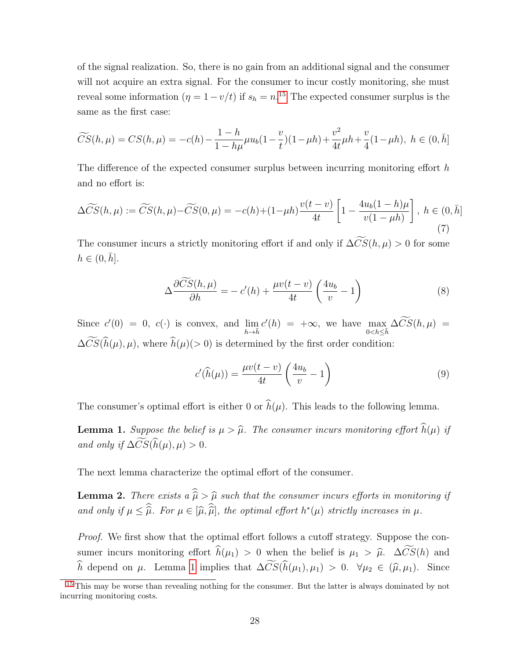<span id="page-29-2"></span>of the signal realization. So, there is no gain from an additional signal and the consumer will not acquire an extra signal. For the consumer to incur costly monitoring, she must reveal some information  $(\eta = 1 - v/t)$  if  $s_h = n^{15}$  $s_h = n^{15}$  $s_h = n^{15}$  The expected consumer surplus is the same as the first case:

$$
\widetilde{CS}(h,\mu) = CS(h,\mu) = -c(h) - \frac{1-h}{1-h\mu}\mu u_b(1-\frac{v}{t})(1-\mu h) + \frac{v^2}{4t}\mu h + \frac{v}{4}(1-\mu h), \ h \in (0,\bar{h}]
$$

The difference of the expected consumer surplus between incurring monitoring effort h and no effort is:

$$
\Delta \widetilde{CS}(h,\mu) := \widetilde{CS}(h,\mu) - \widetilde{CS}(0,\mu) = -c(h) + (1-\mu h) \frac{v(t-v)}{4t} \left[ 1 - \frac{4u_b(1-h)\mu}{v(1-\mu h)} \right], \ h \in (0,\bar{h}]
$$
\n
$$
(7)
$$

The consumer incurs a strictly monitoring effort if and only if  $\Delta\widetilde{CS}(h,\mu) > 0$  for some  $h \in (0, \bar{h}]$ .

$$
\Delta \frac{\partial \widetilde{CS}(h,\mu)}{\partial h} = -c'(h) + \frac{\mu v(t-v)}{4t} \left(\frac{4u_b}{v} - 1\right) \tag{8}
$$

Since  $c'(0) = 0$ ,  $c(\cdot)$  is convex, and  $\lim_{h \to \bar{h}} c'(h) = +\infty$ , we have  $\max_{0 < h \leq \bar{h}} \Delta \overline{CS}(h, \mu) =$  $\Delta \widetilde{CS}(\widehat{h}(\mu), \mu)$ , where  $\widehat{h}(\mu)(> 0)$  is determined by the first order condition:

<span id="page-29-3"></span>
$$
c'(\widehat{h}(\mu)) = \frac{\mu v(t - v)}{4t} \left(\frac{4u_b}{v} - 1\right)
$$
\n(9)

The consumer's optimal effort is either 0 or  $\hat{h}(\mu)$ . This leads to the following lemma.

<span id="page-29-1"></span>**Lemma 1.** Suppose the belief is  $\mu > \hat{\mu}$ . The consumer incurs monitoring effort  $\hat{h}(\mu)$  if and only if  $\Delta \widetilde{CS}(\widehat{h}(\mu), \mu) > 0$ .

The next lemma characterize the optimal effort of the consumer.

**Lemma 2.** There exists a  $\widehat{\widehat{\mu}} > \widehat{\mu}$  such that the consumer incurs efforts in monitoring if and only if  $\mu \leq \hat{\mu}$ . For  $\mu \in [\hat{\mu}, \hat{\hat{\mu}}]$ , the optimal effort  $h^*(\mu)$  strictly increases in  $\mu$ .

Proof. We first show that the optimal effort follows a cutoff strategy. Suppose the consumer incurs monitoring effort  $\hat{h}(\mu_1) > 0$  when the belief is  $\mu_1 > \hat{\mu}$ .  $\Delta \widetilde{CS}(h)$  and  $\widehat{h}$  depend on  $\mu$ . Lemma [1](#page-29-1) implies that  $\Delta \widetilde{CS}(\widehat{h}(\mu_1), \mu_1) > 0$ .  $\forall \mu_2 \in (\widehat{\mu}, \mu_1)$ . Since

<span id="page-29-0"></span><sup>&</sup>lt;sup>[15](#page-29-2)</sup> This may be worse than revealing nothing for the consumer. But the latter is always dominated by not incurring monitoring costs.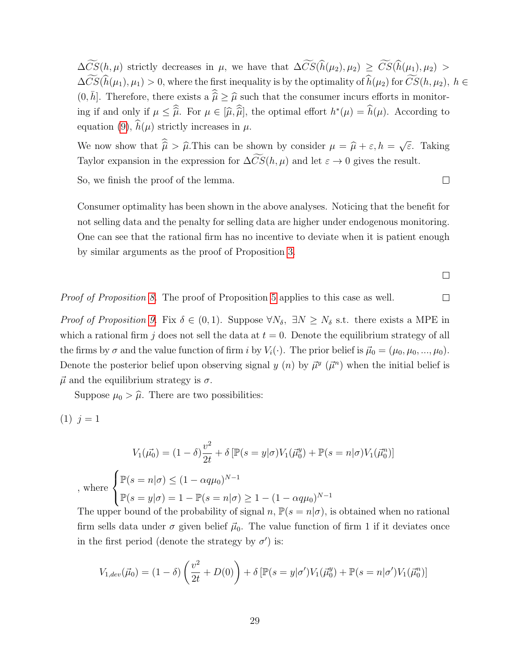$\Delta\widetilde{CS}(h,\mu)$  strictly decreases in  $\mu$ , we have that  $\Delta\widetilde{CS}(\widehat{h}(\mu_2),\mu_2) \geq \widetilde{CS}(\widehat{h}(\mu_1),\mu_2)$  $\Delta\widetilde{CS}(\widehat{h}(\mu_1), \mu_1) > 0$ , where the first inequality is by the optimality of  $\widehat{h}(\mu_2)$  for  $\widetilde{CS}(h, \mu_2)$ ,  $h \in$  $(0, \bar{h}]$ . Therefore, there exists a  $\hat{\hat{\mu}} \geq \hat{\mu}$  such that the consumer incurs efforts in monitoring if and only if  $\mu \leq \hat{\hat{\mu}}$ . For  $\mu \in [\hat{\mu}, \hat{\hat{\mu}}]$ , the optimal effort  $h^*(\mu) = \hat{h}(\mu)$ . According to equation [\(9\)](#page-29-3),  $\widehat{h}(\mu)$  strictly increases in  $\mu$ .

We now show that  $\hat{\mu} > \hat{\mu}$ . This can be shown by consider  $\mu = \hat{\mu} + \varepsilon$ ,  $h =$ √ ε. Taking Taylor expansion in the expression for  $\Delta\widetilde{CS}(h,\mu)$  and let  $\varepsilon \to 0$  gives the result.

So, we finish the proof of the lemma.

Consumer optimality has been shown in the above analyses. Noticing that the benefit for not selling data and the penalty for selling data are higher under endogenous monitoring. One can see that the rational firm has no incentive to deviate when it is patient enough by similar arguments as the proof of Proposition [3.](#page-11-0)

 $\Box$ 

 $\Box$ 

Proof of Proposition [8.](#page-18-0) The proof of Proposition [5](#page-13-0) applies to this case as well.  $\Box$ 

*Proof of Proposition [9.](#page-19-0)* Fix  $\delta \in (0,1)$ . Suppose  $\forall N_{\delta}, \exists N \geq N_{\delta}$  s.t. there exists a MPE in which a rational firm j does not sell the data at  $t = 0$ . Denote the equilibrium strategy of all the firms by  $\sigma$  and the value function of firm i by  $V_i(\cdot)$ . The prior belief is  $\vec{\mu}_0 = (\mu_0, \mu_0, ..., \mu_0)$ . Denote the posterior belief upon observing signal y (n) by  $\vec{\mu}^y$  ( $\vec{\mu}^n$ ) when the initial belief is  $\vec{\mu}$  and the equilibrium strategy is  $\sigma$ .

Suppose  $\mu_0 > \hat{\mu}$ . There are two possibilities:

$$
(1) j = 1
$$

$$
V_1(\vec{\mu_0}) = (1 - \delta) \frac{v^2}{2t} + \delta \left[ \mathbb{P}(s = y | \sigma) V_1(\vec{\mu_0}) + \mathbb{P}(s = n | \sigma) V_1(\vec{\mu_0}) \right]
$$
  
, where 
$$
\begin{cases} \mathbb{P}(s = n | \sigma) \le (1 - \alpha q \mu_0)^{N-1} \\ \mathbb{P}(s = y | \sigma) = 1 - \mathbb{P}(s = n | \sigma) \ge 1 - (1 - \alpha q \mu_0)^{N-1} \end{cases}
$$

The upper bound of the probability of signal n,  $\mathbb{P}(s = n | \sigma)$ , is obtained when no rational firm sells data under  $\sigma$  given belief  $\vec{\mu}_0$ . The value function of firm 1 if it deviates once in the first period (denote the strategy by  $\sigma'$ ) is:

$$
V_{1,dev}(\vec{\mu}_0) = (1 - \delta) \left( \frac{v^2}{2t} + D(0) \right) + \delta \left[ \mathbb{P}(s = y | \sigma') V_1(\vec{\mu}_0^y) + \mathbb{P}(s = n | \sigma') V_1(\vec{\mu}_0^n) \right]
$$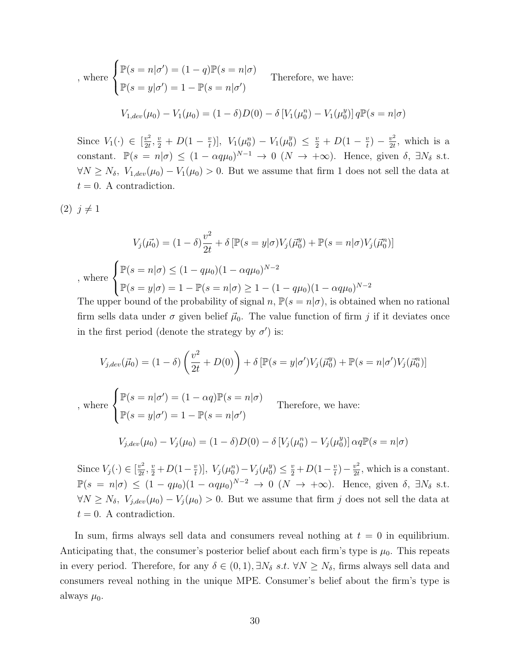$$
\text{where } \begin{cases} \mathbb{P}(s=n|\sigma') = (1-q)\mathbb{P}(s=n|\sigma) \\ \mathbb{P}(s=y|\sigma') = 1 - \mathbb{P}(s=n|\sigma') \end{cases} \text{ Therefore, we have:}
$$
\n
$$
V_{1,dev}(\mu_0) - V_1(\mu_0) = (1-\delta)D(0) - \delta \left[ V_1(\mu_0^n) - V_1(\mu_0^n) \right] q \mathbb{P}(s=n|\sigma)
$$

Since  $V_1(\cdot) \in \left[\frac{v^2}{2t}\right]$  $\frac{v^2}{2t}, \frac{v}{2} + D(1 - \frac{v}{t})$  $\left[\begin{array}{cc} \frac{v}{t} \end{array}\right], V_1(\mu_0^n) - V_1(\mu_0^n)$  $\binom{y}{0} \leq \frac{v}{2} + D(1 - \frac{v}{t})$  $\frac{v}{t}$ ) –  $\frac{v^2}{2t}$  $\frac{v^2}{2t}$ , which is a constant.  $\mathbb{P}(s = n | \sigma) \le (1 - \alpha q \mu_0)^{N-1} \to 0 \ (N \to +\infty)$ . Hence, given  $\delta$ ,  $\exists N_{\delta}$  s.t.  $\forall N \geq N_{\delta}, V_{1,dev}(\mu_0) - V_1(\mu_0) > 0$ . But we assume that firm 1 does not sell the data at  $t = 0$ . A contradiction.

 $(2)$   $j \neq 1$ 

$$
V_j(\vec{\mu_0}) = (1 - \delta) \frac{v^2}{2t} + \delta \left[ \mathbb{P}(s = y | \sigma) V_j(\vec{\mu_0}^y) + \mathbb{P}(s = n | \sigma) V_j(\vec{\mu_0}^n) \right]
$$
  
, where 
$$
\begin{cases} \mathbb{P}(s = n | \sigma) \le (1 - q\mu_0)(1 - \alpha q\mu_0)^{N-2} \\ \mathbb{P}(s = y | \sigma) = 1 - \mathbb{P}(s = n | \sigma) \ge 1 - (1 - q\mu_0)(1 - \alpha q\mu_0)^{N-2} \end{cases}
$$

The upper bound of the probability of signal n,  $\mathbb{P}(s = n | \sigma)$ , is obtained when no rational firm sells data under  $\sigma$  given belief  $\vec{\mu}_0$ . The value function of firm j if it deviates once in the first period (denote the strategy by  $\sigma'$ ) is:

$$
V_{j,dev}(\vec{\mu}_0) = (1 - \delta) \left( \frac{v^2}{2t} + D(0) \right) + \delta \left[ \mathbb{P}(s = y | \sigma') V_j(\vec{\mu}_0^y) + \mathbb{P}(s = n | \sigma') V_j(\vec{\mu}_0^n) \right]
$$
  
, where 
$$
\begin{cases} \mathbb{P}(s = n | \sigma') = (1 - \alpha q) \mathbb{P}(s = n | \sigma) \\ \mathbb{P}(s = y | \sigma') = 1 - \mathbb{P}(s = n | \sigma') \end{cases}
$$
 Therefore, we have:  

$$
V_{j,dev}(\mu_0) - V_j(\mu_0) = (1 - \delta)D(0) - \delta \left[ V_j(\mu_0^n) - V_j(\mu_0^y) \right] \alpha q \mathbb{P}(s = n | \sigma)
$$

Since  $V_j(\cdot) \in \left[\frac{v^2}{2t}\right]$  $\frac{v^2}{2t}, \frac{v}{2} + D(1-\frac{v}{t})$  $\left[\frac{v}{t}\right]$ ,  $V_j(\mu_0^n) - V_j(\mu_0^n)$  $\binom{y}{0} \leq \frac{v}{2} + D(1 - \frac{v}{t})$  $\frac{v}{t}$ ) –  $\frac{v^2}{2t}$  $\frac{v^2}{2t}$ , which is a constant.  $\mathbb{P}(s = n | \sigma) \le (1 - q\mu_0)(1 - \alpha q\mu_0)^{N-2} \to 0 \ (N \to +\infty)$ . Hence, given  $\delta$ ,  $\exists N_{\delta}$  s.t.  $\forall N \ge N_\delta, V_{j,dev}(\mu_0) - V_j(\mu_0) > 0$ . But we assume that firm j does not sell the data at  $t = 0$ . A contradiction.

In sum, firms always sell data and consumers reveal nothing at  $t = 0$  in equilibrium. Anticipating that, the consumer's posterior belief about each firm's type is  $\mu_0$ . This repeats in every period. Therefore, for any  $\delta \in (0,1), \exists N_{\delta} s.t. \forall N \ge N_{\delta}$ , firms always sell data and consumers reveal nothing in the unique MPE. Consumer's belief about the firm's type is always  $\mu_0$ .